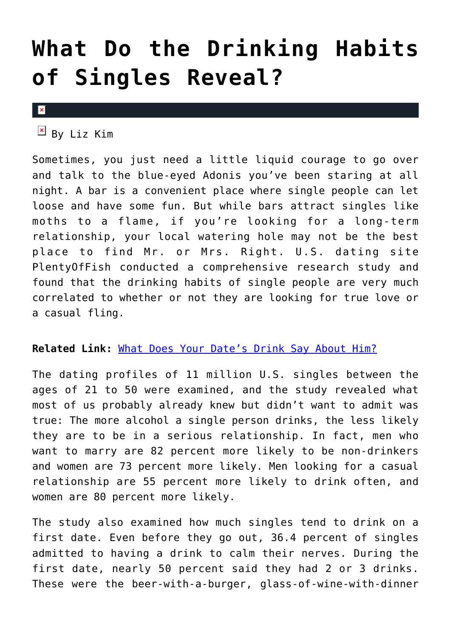### **[What Do the Drinking Habits](https://cupidspulse.com/72559/what-do-the-drinking-habits-of-singles-reveal/) [of Singles Reveal?](https://cupidspulse.com/72559/what-do-the-drinking-habits-of-singles-reveal/)**

#### $\pmb{\times}$

 $\boxed{\times}$  By Liz Kim

Sometimes, you just need a little liquid courage to go over and talk to the blue-eyed Adonis you've been staring at all night. A bar is a convenient place where single people can let loose and have some fun. But while bars attract singles like moths to a flame, if you're looking for a long-term relationship, your local watering hole may not be the best place to find Mr. or Mrs. Right. U.S. dating site PlentyOfFish conducted a comprehensive research study and found that the drinking habits of single people are very much correlated to whether or not they are looking for true love or a casual fling.

#### **Related Link:** [What Does Your Date's Drink Say About Him?](http://cupidspulse.com/what-does-dates-drink-say-about-him-bartender-love-beer-wine-liquor/)

The dating profiles of 11 million U.S. singles between the ages of 21 to 50 were examined, and the study revealed what most of us probably already knew but didn't want to admit was true: The more alcohol a single person drinks, the less likely they are to be in a serious relationship. In fact, men who want to marry are 82 percent more likely to be non-drinkers and women are 73 percent more likely. Men looking for a casual relationship are 55 percent more likely to drink often, and women are 80 percent more likely.

The study also examined how much singles tend to drink on a first date. Even before they go out, 36.4 percent of singles admitted to having a drink to calm their nerves. During the first date, nearly 50 percent said they had 2 or 3 drinks. These were the beer-with-a-burger, glass-of-wine-with-dinner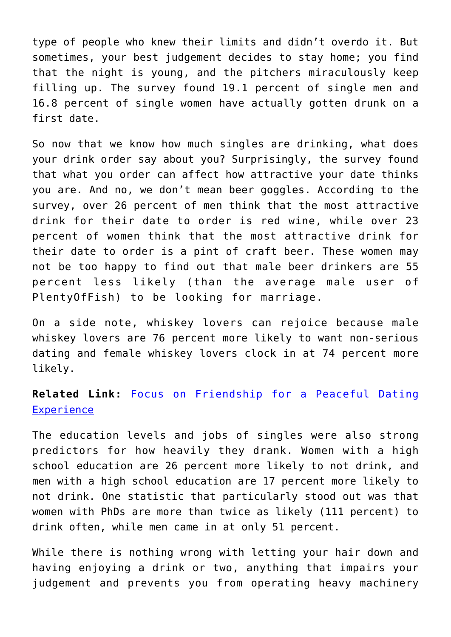type of people who knew their limits and didn't overdo it. But sometimes, your best judgement decides to stay home; you find that the night is young, and the pitchers miraculously keep filling up. The survey found 19.1 percent of single men and 16.8 percent of single women have actually gotten drunk on a first date.

So now that we know how much singles are drinking, what does your drink order say about you? Surprisingly, the survey found that what you order can affect how attractive your date thinks you are. And no, we don't mean beer goggles. According to the survey, over 26 percent of men think that the most attractive drink for their date to order is red wine, while over 23 percent of women think that the most attractive drink for their date to order is a pint of craft beer. These women may not be too happy to find out that male beer drinkers are 55 percent less likely (than the average male user of PlentyOfFish) to be looking for marriage.

On a side note, whiskey lovers can rejoice because male whiskey lovers are 76 percent more likely to want non-serious dating and female whiskey lovers clock in at 74 percent more likely.

#### **Related Link:** [Focus on Friendship for a Peaceful Dating](http://cupidspulse.com/focus-on-friendship-for-a-peaceful-dating-experience/) **[Experience](http://cupidspulse.com/focus-on-friendship-for-a-peaceful-dating-experience/)**

The education levels and jobs of singles were also strong predictors for how heavily they drank. Women with a high school education are 26 percent more likely to not drink, and men with a high school education are 17 percent more likely to not drink. One statistic that particularly stood out was that women with PhDs are more than twice as likely (111 percent) to drink often, while men came in at only 51 percent.

While there is nothing wrong with letting your hair down and having enjoying a drink or two, anything that impairs your judgement and prevents you from operating heavy machinery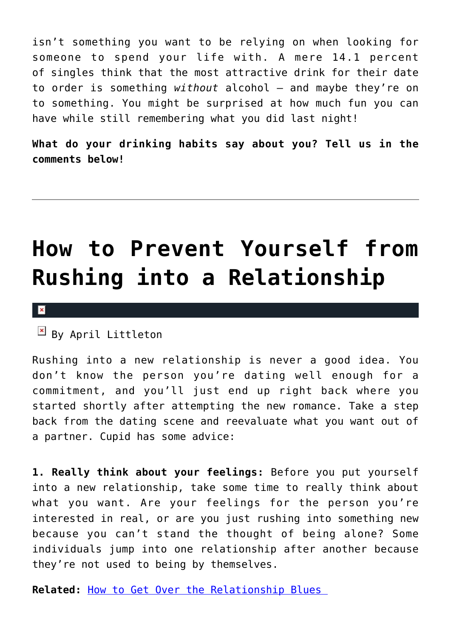isn't something you want to be relying on when looking for someone to spend your life with. A mere 14.1 percent of singles think that the most attractive drink for their date to order is something *without* alcohol — and maybe they're on to something. You might be surprised at how much fun you can have while still remembering what you did last night!

**What do your drinking habits say about you? Tell us in the comments below!**

### **[How to Prevent Yourself from](https://cupidspulse.com/72143/prevent-rushing-into-relationship/) [Rushing into a Relationship](https://cupidspulse.com/72143/prevent-rushing-into-relationship/)**

#### $\pmb{\times}$

 $\overline{B}$  By April Littleton

Rushing into a new relationship is never a good idea. You don't know the person you're dating well enough for a commitment, and you'll just end up right back where you started shortly after attempting the new romance. Take a step back from the dating scene and reevaluate what you want out of a partner. Cupid has some advice:

**1. Really think about your feelings:** Before you put yourself into a new relationship, take some time to really think about what you want. Are your feelings for the person you're interested in real, or are you just rushing into something new because you can't stand the thought of being alone? Some individuals jump into one relationship after another because they're not used to being by themselves.

**Related:** [How to Get Over the Relationship Blues](http://cupidspulse.com/get-over-relationship-blues/)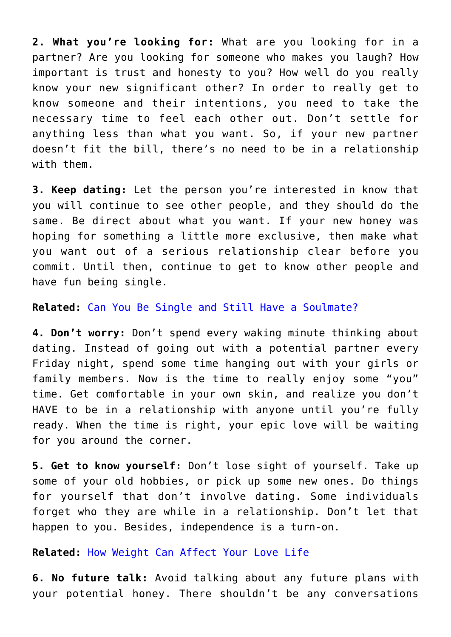**2. What you're looking for:** What are you looking for in a partner? Are you looking for someone who makes you laugh? How important is trust and honesty to you? How well do you really know your new significant other? In order to really get to know someone and their intentions, you need to take the necessary time to feel each other out. Don't settle for anything less than what you want. So, if your new partner doesn't fit the bill, there's no need to be in a relationship with them.

**3. Keep dating:** Let the person you're interested in know that you will continue to see other people, and they should do the same. Be direct about what you want. If your new honey was hoping for something a little more exclusive, then make what you want out of a serious relationship clear before you commit. Until then, continue to get to know other people and have fun being single.

**Related:** [Can You Be Single and Still Have a Soulmate?](http://cupidspulse.com/can-you-be-single-and-still-have-a-soulmate/)

**4. Don't worry:** Don't spend every waking minute thinking about dating. Instead of going out with a potential partner every Friday night, spend some time hanging out with your girls or family members. Now is the time to really enjoy some "you" time. Get comfortable in your own skin, and realize you don't HAVE to be in a relationship with anyone until you're fully ready. When the time is right, your epic love will be waiting for you around the corner.

**5. Get to know yourself:** Don't lose sight of yourself. Take up some of your old hobbies, or pick up some new ones. Do things for yourself that don't involve dating. Some individuals forget who they are while in a relationship. Don't let that happen to you. Besides, independence is a turn-on.

**Related:** [How Weight Can Affect Your Love Life](http://cupidspulse.com/how-weight-affect-love-life/) 

**6. No future talk:** Avoid talking about any future plans with your potential honey. There shouldn't be any conversations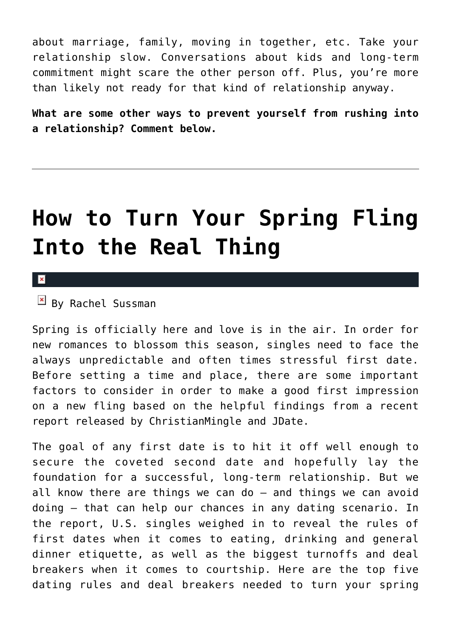about marriage, family, moving in together, etc. Take your relationship slow. Conversations about kids and long-term commitment might scare the other person off. Plus, you're more than likely not ready for that kind of relationship anyway.

**What are some other ways to prevent yourself from rushing into a relationship? Comment below.**

### **[How to Turn Your Spring Fling](https://cupidspulse.com/72468/spring-fling-real-thing/) [Into the Real Thing](https://cupidspulse.com/72468/spring-fling-real-thing/)**

#### $\pmb{\times}$

 $\mathbb{F}$  By Rachel Sussman

Spring is officially here and love is in the air. In order for new romances to blossom this season, singles need to face the always unpredictable and often times stressful first date. Before setting a time and place, there are some important factors to consider in order to make a good first impression on a new fling based on the helpful findings from a recent report released by ChristianMingle and JDate.

The goal of any first date is to hit it off well enough to secure the coveted second date and hopefully lay the foundation for a successful, long-term relationship. But we all know there are things we can do — and things we can avoid doing — that can help our chances in any dating scenario. In the report, U.S. singles weighed in to reveal the rules of first dates when it comes to eating, drinking and general dinner etiquette, as well as the biggest turnoffs and deal breakers when it comes to courtship. Here are the top five dating rules and deal breakers needed to turn your spring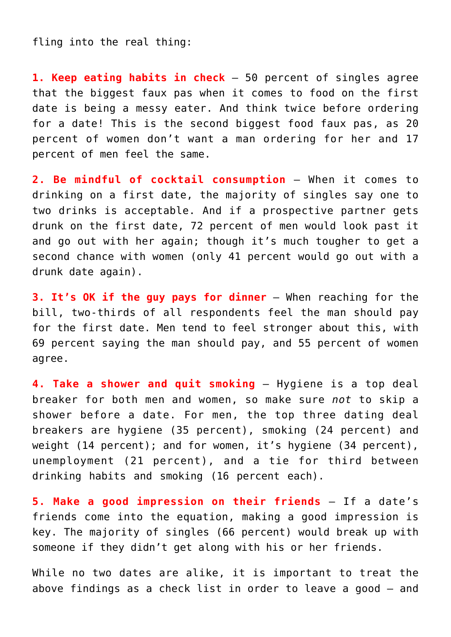fling into the real thing:

**1. Keep eating habits in check** — 50 percent of singles agree that the biggest faux pas when it comes to food on the first date is being a messy eater. And think twice before ordering for a date! This is the second biggest food faux pas, as 20 percent of women don't want a man ordering for her and 17 percent of men feel the same.

**2. Be mindful of cocktail consumption** — When it comes to drinking on a first date, the majority of singles say one to two drinks is acceptable. And if a prospective partner gets drunk on the first date, 72 percent of men would look past it and go out with her again; though it's much tougher to get a second chance with women (only 41 percent would go out with a drunk date again).

**3. It's OK if the guy pays for dinner** — When reaching for the bill, two-thirds of all respondents feel the man should pay for the first date. Men tend to feel stronger about this, with 69 percent saying the man should pay, and 55 percent of women agree.

**4. Take a shower and quit smoking** — Hygiene is a top deal breaker for both men and women, so make sure *not* to skip a shower before a date. For men, the top three dating deal breakers are hygiene (35 percent), smoking (24 percent) and weight (14 percent); and for women, it's hygiene (34 percent), unemployment (21 percent), and a tie for third between drinking habits and smoking (16 percent each).

**5. Make a good impression on their friends** — If a date's friends come into the equation, making a good impression is key. The majority of singles (66 percent) would break up with someone if they didn't get along with his or her friends.

While no two dates are alike, it is important to treat the above findings as a check list in order to leave a good — and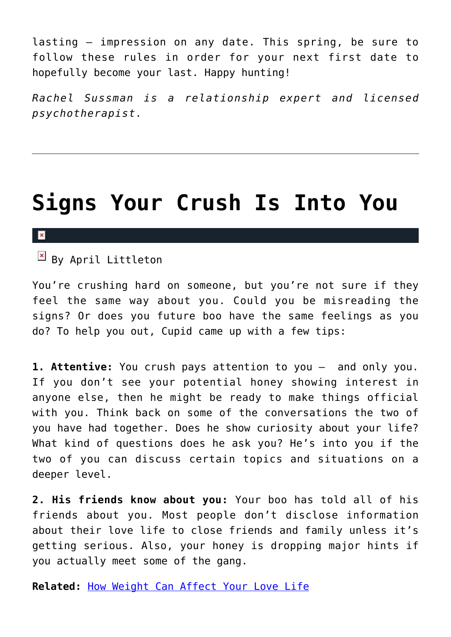lasting — impression on any date. This spring, be sure to follow these rules in order for your next first date to hopefully become your last. Happy hunting!

*Rachel Sussman is a relationship expert and licensed psychotherapist.*

### **[Signs Your Crush Is Into You](https://cupidspulse.com/71383/signs-crush-into-you/)**

#### $\mathbf x$

 $\overline{B}$  By April Littleton

You're crushing hard on someone, but you're not sure if they feel the same way about you. Could you be misreading the signs? Or does you future boo have the same feelings as you do? To help you out, Cupid came up with a few tips:

**1. Attentive:** You crush pays attention to you – and only you. If you don't see your potential honey showing interest in anyone else, then he might be ready to make things official with you. Think back on some of the conversations the two of you have had together. Does he show curiosity about your life? What kind of questions does he ask you? He's into you if the two of you can discuss certain topics and situations on a deeper level.

**2. His friends know about you:** Your boo has told all of his friends about you. Most people don't disclose information about their love life to close friends and family unless it's getting serious. Also, your honey is dropping major hints if you actually meet some of the gang.

**Related:** [How Weight Can Affect Your Love Life](http://cupidspulse.com/how-weight-affect-love-life/)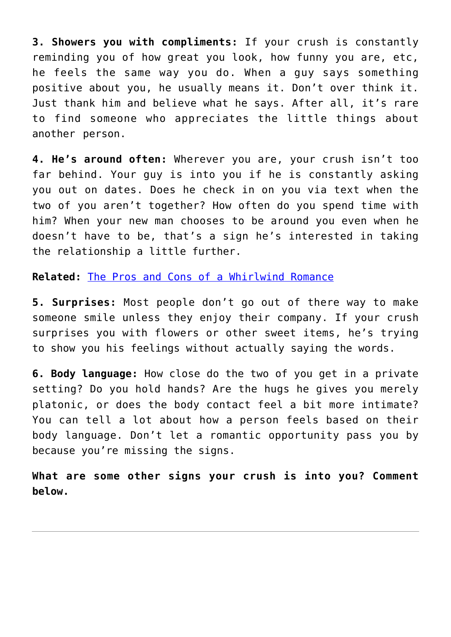**3. Showers you with compliments:** If your crush is constantly reminding you of how great you look, how funny you are, etc, he feels the same way you do. When a guy says something positive about you, he usually means it. Don't over think it. Just thank him and believe what he says. After all, it's rare to find someone who appreciates the little things about another person.

**4. He's around often:** Wherever you are, your crush isn't too far behind. Your guy is into you if he is constantly asking you out on dates. Does he check in on you via text when the two of you aren't together? How often do you spend time with him? When your new man chooses to be around you even when he doesn't have to be, that's a sign he's interested in taking the relationship a little further.

**Related:** [The Pros and Cons of a Whirlwind Romance](http://cupidspulse.com/the-pros-and-cons-of-a-whirlwind-romance/)

**5. Surprises:** Most people don't go out of there way to make someone smile unless they enjoy their company. If your crush surprises you with flowers or other sweet items, he's trying to show you his feelings without actually saying the words.

**6. Body language:** How close do the two of you get in a private setting? Do you hold hands? Are the hugs he gives you merely platonic, or does the body contact feel a bit more intimate? You can tell a lot about how a person feels based on their body language. Don't let a romantic opportunity pass you by because you're missing the signs.

**What are some other signs your crush is into you? Comment below.**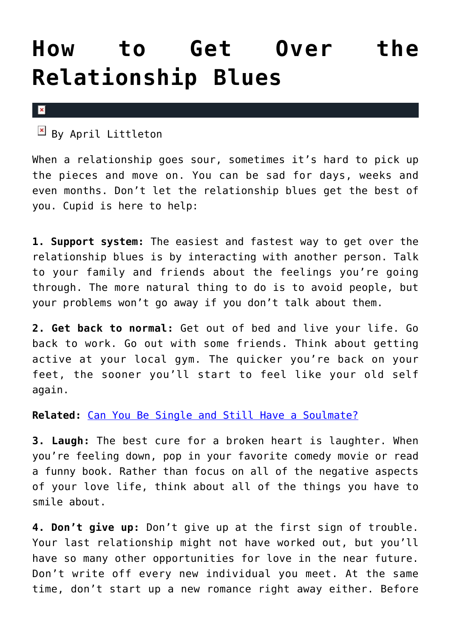### **[How to Get Over the](https://cupidspulse.com/71778/get-over-relationship-blues/) [Relationship Blues](https://cupidspulse.com/71778/get-over-relationship-blues/)**

 $\mathbf x$ 

 $\boxed{\times}$  By April Littleton

When a relationship goes sour, sometimes it's hard to pick up the pieces and move on. You can be sad for days, weeks and even months. Don't let the relationship blues get the best of you. Cupid is here to help:

**1. Support system:** The easiest and fastest way to get over the relationship blues is by interacting with another person. Talk to your family and friends about the feelings you're going through. The more natural thing to do is to avoid people, but your problems won't go away if you don't talk about them.

**2. Get back to normal:** Get out of bed and live your life. Go back to work. Go out with some friends. Think about getting active at your local gym. The quicker you're back on your feet, the sooner you'll start to feel like your old self again.

**Related:** [Can You Be Single and Still Have a Soulmate?](http://cupidspulse.com/can-you-be-single-and-still-have-a-soulmate/)

**3. Laugh:** The best cure for a broken heart is laughter. When you're feeling down, pop in your favorite comedy movie or read a funny book. Rather than focus on all of the negative aspects of your love life, think about all of the things you have to smile about.

**4. Don't give up:** Don't give up at the first sign of trouble. Your last relationship might not have worked out, but you'll have so many other opportunities for love in the near future. Don't write off every new individual you meet. At the same time, don't start up a new romance right away either. Before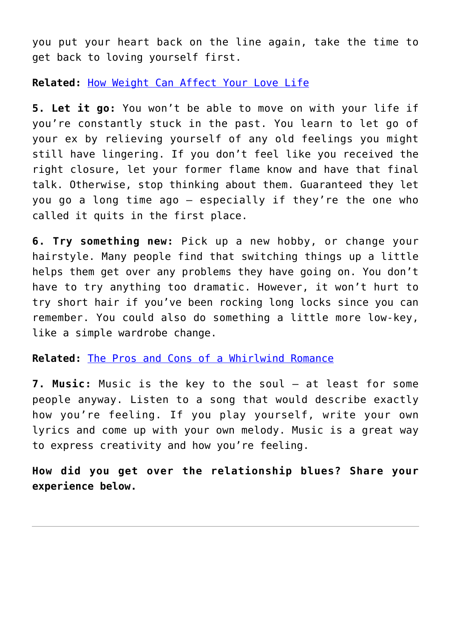you put your heart back on the line again, take the time to get back to loving yourself first.

**Related:** [How Weight Can Affect Your Love Life](http://cupidspulse.com/how-weight-affect-love-life/)

**5. Let it go:** You won't be able to move on with your life if you're constantly stuck in the past. You learn to let go of your ex by relieving yourself of any old feelings you might still have lingering. If you don't feel like you received the right closure, let your former flame know and have that final talk. Otherwise, stop thinking about them. Guaranteed they let you go a long time ago – especially if they're the one who called it quits in the first place.

**6. Try something new:** Pick up a new hobby, or change your hairstyle. Many people find that switching things up a little helps them get over any problems they have going on. You don't have to try anything too dramatic. However, it won't hurt to try short hair if you've been rocking long locks since you can remember. You could also do something a little more low-key, like a simple wardrobe change.

**Related:** [The Pros and Cons of a Whirlwind Romance](http://cupidspulse.com/the-pros-and-cons-of-a-whirlwind-romance/)

**7. Music:** Music is the key to the soul – at least for some people anyway. Listen to a song that would describe exactly how you're feeling. If you play yourself, write your own lyrics and come up with your own melody. Music is a great way to express creativity and how you're feeling.

**How did you get over the relationship blues? Share your experience below.**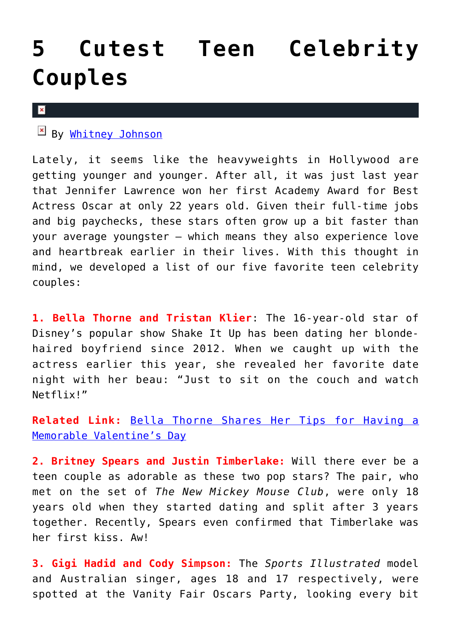### **[5 Cutest Teen Celebrity](https://cupidspulse.com/71305/5-cutest-teen-celebrity-couples/) [Couples](https://cupidspulse.com/71305/5-cutest-teen-celebrity-couples/)**

#### $\pmb{\times}$

By [Whitney Johnson](http://cupidspulse.com/104601/whitney-johnson/)

Lately, it seems like the heavyweights in Hollywood are getting younger and younger. After all, it was just last year that Jennifer Lawrence won her first Academy Award for Best Actress Oscar at only 22 years old. Given their full-time jobs and big paychecks, these stars often grow up a bit faster than your average youngster — which means they also experience love and heartbreak earlier in their lives. With this thought in mind, we developed a list of our five favorite teen celebrity couples:

**1. Bella Thorne and Tristan Klier**: The 16-year-old star of Disney's popular show Shake It Up has been dating her blondehaired boyfriend since 2012. When we caught up with the actress earlier this year, she revealed her favorite date night with her beau: "Just to sit on the couch and watch Netflix!"

**Related Link:** [Bella Thorne Shares Her Tips for Having a](http://cupidspulse.com/shake-it-up-bella-thorne-valentines-day/) [Memorable Valentine's Day](http://cupidspulse.com/shake-it-up-bella-thorne-valentines-day/)

**2. Britney Spears and Justin Timberlake:** Will there ever be a teen couple as adorable as these two pop stars? The pair, who met on the set of *The New Mickey Mouse Club*, were only 18 years old when they started dating and split after 3 years together. Recently, Spears even confirmed that Timberlake was her first kiss. Aw!

**3. Gigi Hadid and Cody Simpson:** The *Sports Illustrated* model and Australian singer, ages 18 and 17 respectively, were spotted at the Vanity Fair Oscars Party, looking every bit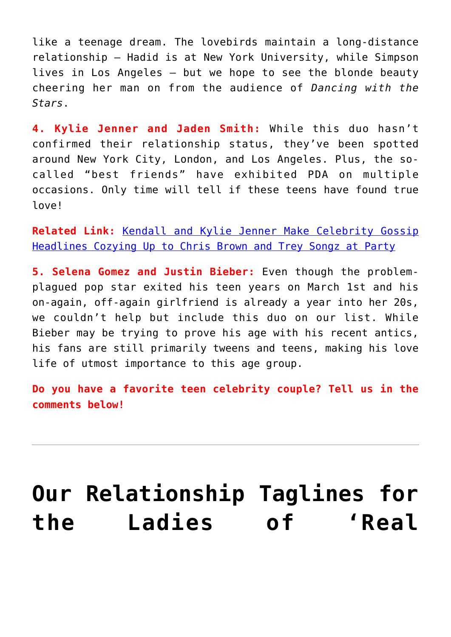like a teenage dream. The lovebirds maintain a long-distance relationship — Hadid is at New York University, while Simpson lives in Los Angeles — but we hope to see the blonde beauty cheering her man on from the audience of *Dancing with the Stars*.

**4. Kylie Jenner and Jaden Smith:** While this duo hasn't confirmed their relationship status, they've been spotted around New York City, London, and Los Angeles. Plus, the socalled "best friends" have exhibited PDA on multiple occasions. Only time will tell if these teens have found true love!

**Related Link:** [Kendall and Kylie Jenner Make Celebrity Gossip](http://cupidspulse.com/78541/kendall-kylie-jenner-chris-brown-trey-songz/) [Headlines Cozying Up to Chris Brown and Trey Songz at Party](http://cupidspulse.com/78541/kendall-kylie-jenner-chris-brown-trey-songz/)

**5. Selena Gomez and Justin Bieber:** Even though the problemplagued pop star exited his teen years on March 1st and his on-again, off-again girlfriend is already a year into her 20s, we couldn't help but include this duo on our list. While Bieber may be trying to prove his age with his recent antics, his fans are still primarily tweens and teens, making his love life of utmost importance to this age group.

**Do you have a favorite teen celebrity couple? Tell us in the comments below!**

# **[Our Relationship Taglines for](https://cupidspulse.com/71355/relationship-taglines-rhony/) [the Ladies of 'Real](https://cupidspulse.com/71355/relationship-taglines-rhony/)**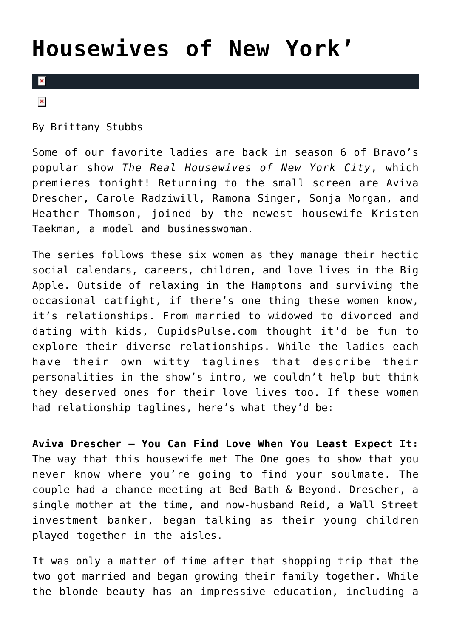### **[Housewives of New York'](https://cupidspulse.com/71355/relationship-taglines-rhony/)**

#### $\mathbf{R}$

 $\pmb{\times}$ 

By Brittany Stubbs

Some of our favorite ladies are back in season 6 of Bravo's popular show *The Real Housewives of New York City*, which premieres tonight! Returning to the small screen are Aviva Drescher, Carole Radziwill, Ramona Singer, Sonja Morgan, and Heather Thomson, joined by the newest housewife Kristen Taekman, a model and businesswoman.

The series follows these six women as they manage their hectic social calendars, careers, children, and love lives in the Big Apple. Outside of relaxing in the Hamptons and surviving the occasional catfight, if there's one thing these women know, it's relationships. From married to widowed to divorced and dating with kids, CupidsPulse.com thought it'd be fun to explore their diverse relationships. While the ladies each have their own witty taglines that describe their personalities in the show's intro, we couldn't help but think they deserved ones for their love lives too. If these women had relationship taglines, here's what they'd be:

**Aviva Drescher – You Can Find Love When You Least Expect It:** The way that this housewife met The One goes to show that you never know where you're going to find your soulmate. The couple had a chance meeting at Bed Bath & Beyond. Drescher, a single mother at the time, and now-husband Reid, a Wall Street investment banker, began talking as their young children played together in the aisles.

It was only a matter of time after that shopping trip that the two got married and began growing their family together. While the blonde beauty has an impressive education, including a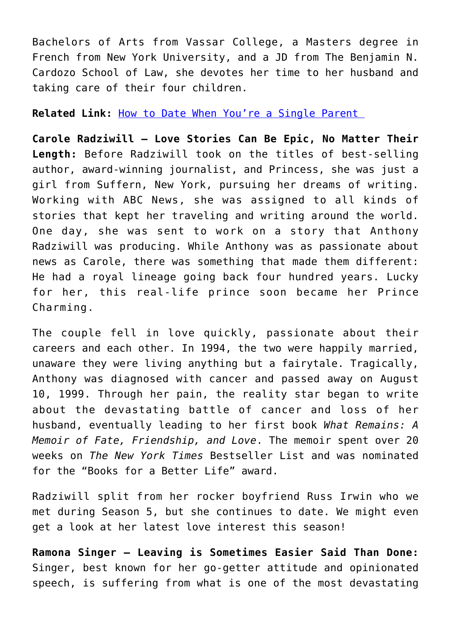Bachelors of Arts from Vassar College, a Masters degree in French from New York University, and a JD from The Benjamin N. Cardozo School of Law, she devotes her time to her husband and taking care of their four children.

**Related Link:** [How to Date When You're a Single Parent](http://cupidspulse.com/date-single-parent/) 

**Carole Radziwill – Love Stories Can Be Epic, No Matter Their Length:** Before Radziwill took on the titles of best-selling author, award-winning journalist, and Princess, she was just a girl from Suffern, New York, pursuing her dreams of writing. Working with ABC News, she was assigned to all kinds of stories that kept her traveling and writing around the world. One day, she was sent to work on a story that Anthony Radziwill was producing. While Anthony was as passionate about news as Carole, there was something that made them different: He had a royal lineage going back four hundred years. Lucky for her, this real-life prince soon became her Prince Charming.

The couple fell in love quickly, passionate about their careers and each other. In 1994, the two were happily married, unaware they were living anything but a fairytale. Tragically, Anthony was diagnosed with cancer and passed away on August 10, 1999. Through her pain, the reality star began to write about the devastating battle of cancer and loss of her husband, eventually leading to her first book *What Remains: A Memoir of Fate, Friendship, and Love*. The memoir spent over 20 weeks on *The New York Times* Bestseller List and was nominated for the "Books for a Better Life" award.

Radziwill split from her rocker boyfriend Russ Irwin who we met during Season 5, but she continues to date. We might even get a look at her latest love interest this season!

**Ramona Singer – Leaving is Sometimes Easier Said Than Done:** Singer, best known for her go-getter attitude and opinionated speech, is suffering from what is one of the most devastating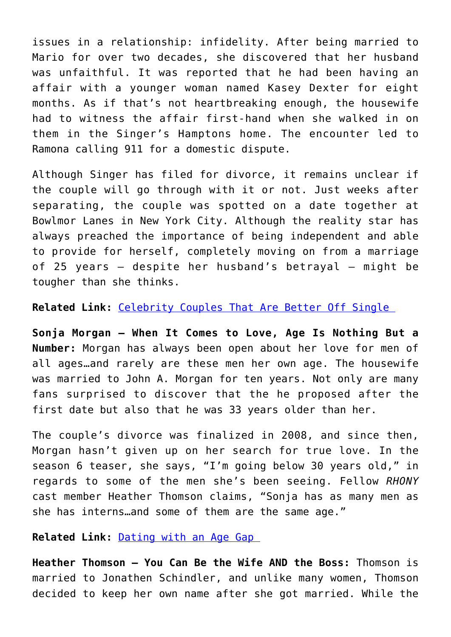issues in a relationship: infidelity. After being married to Mario for over two decades, she discovered that her husband was unfaithful. It was reported that he had been having an affair with a younger woman named Kasey Dexter for eight months. As if that's not heartbreaking enough, the housewife had to witness the affair first-hand when she walked in on them in the Singer's Hamptons home. The encounter led to Ramona calling 911 for a domestic dispute.

Although Singer has filed for divorce, it remains unclear if the couple will go through with it or not. Just weeks after separating, the couple was spotted on a date together at Bowlmor Lanes in New York City. Although the reality star has always preached the importance of being independent and able to provide for herself, completely moving on from a marriage of 25 years — despite her husband's betrayal — might be tougher than she thinks.

**Related Link:** [Celebrity Couples That Are Better Off Single](http://cupidspulse.com/celebrity-couples-who-are-better-off-single/) 

**Sonja Morgan – When It Comes to Love, Age Is Nothing But a Number:** Morgan has always been open about her love for men of all ages…and rarely are these men her own age. The housewife was married to John A. Morgan for ten years. Not only are many fans surprised to discover that the he proposed after the first date but also that he was 33 years older than her.

The couple's divorce was finalized in 2008, and since then, Morgan hasn't given up on her search for true love. In the season 6 teaser, she says, "I'm going below 30 years old," in regards to some of the men she's been seeing. Fellow *RHONY* cast member Heather Thomson claims, "Sonja has as many men as she has interns…and some of them are the same age."

**Related Link:** [Dating with an Age Gap](http://cupidspulse.com/dating-age-gap/) 

**Heather Thomson – You Can Be the Wife AND the Boss:** Thomson is married to Jonathen Schindler, and unlike many women, Thomson decided to keep her own name after she got married. While the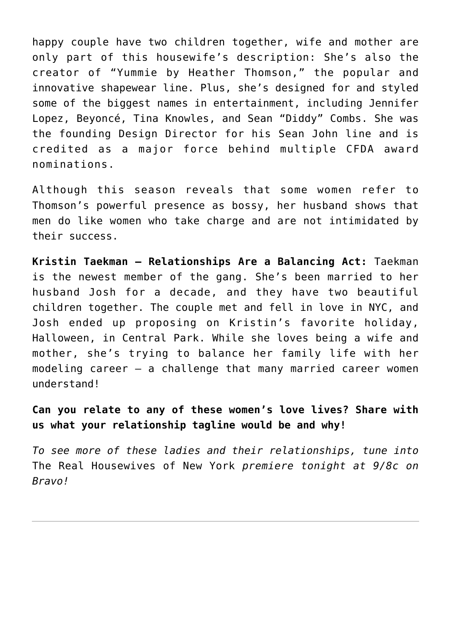happy couple have two children together, wife and mother are only part of this housewife's description: She's also the creator of "Yummie by Heather Thomson," the popular and innovative shapewear line. Plus, she's designed for and styled some of the biggest names in entertainment, including Jennifer Lopez, Beyoncé, Tina Knowles, and Sean "Diddy" Combs. She was the founding Design Director for his Sean John line and is credited as a major force behind multiple CFDA award nominations.

Although this season reveals that some women refer to Thomson's powerful presence as bossy, her husband shows that men do like women who take charge and are not intimidated by their success.

**Kristin Taekman – Relationships Are a Balancing Act:** Taekman is the newest member of the gang. She's been married to her husband Josh for a decade, and they have two beautiful children together. The couple met and fell in love in NYC, and Josh ended up proposing on Kristin's favorite holiday, Halloween, in Central Park. While she loves being a wife and mother, she's trying to balance her family life with her modeling career — a challenge that many married career women understand!

**Can you relate to any of these women's love lives? Share with us what your relationship tagline would be and why!**

*To see more of these ladies and their relationships, tune into* The Real Housewives of New York *premiere tonight at 9/8c on Bravo!*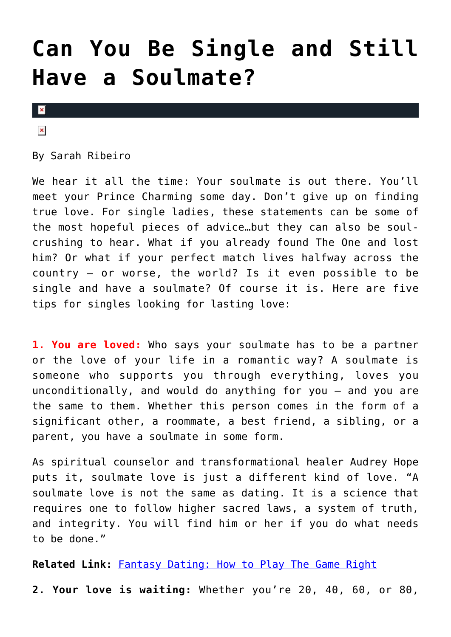### **[Can You Be Single and Still](https://cupidspulse.com/68506/can-you-be-single-and-still-have-a-soulmate/) [Have a Soulmate?](https://cupidspulse.com/68506/can-you-be-single-and-still-have-a-soulmate/)**

 $\mathbf x$ 

 $\pmb{\times}$ 

By Sarah Ribeiro

We hear it all the time: Your soulmate is out there. You'll meet your Prince Charming some day. Don't give up on finding true love. For single ladies, these statements can be some of the most hopeful pieces of advice…but they can also be soulcrushing to hear. What if you already found The One and lost him? Or what if your perfect match lives halfway across the country — or worse, the world? Is it even possible to be single and have a soulmate? Of course it is. Here are five tips for singles looking for lasting love:

**1. You are loved:** Who says your soulmate has to be a partner or the love of your life in a romantic way? A soulmate is someone who supports you through everything, loves you unconditionally, and would do anything for you — and you are the same to them. Whether this person comes in the form of a significant other, a roommate, a best friend, a sibling, or a parent, you have a soulmate in some form.

As spiritual counselor and transformational healer Audrey Hope puts it, soulmate love is just a different kind of love. "A soulmate love is not the same as dating. It is a science that requires one to follow higher sacred laws, a system of truth, and integrity. You will find him or her if you do what needs to be done."

**Related Link:** [Fantasy Dating: How to Play The Game Right](http://cupidspulse.com/fantasy-dating-play-game-right/)

**2. Your love is waiting:** Whether you're 20, 40, 60, or 80,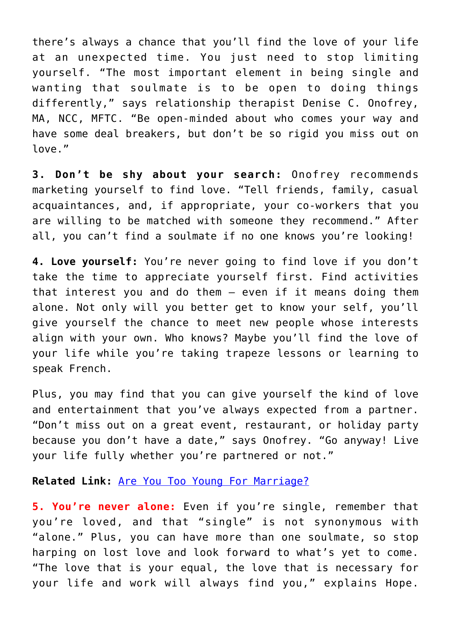there's always a chance that you'll find the love of your life at an unexpected time. You just need to stop limiting yourself. "The most important element in being single and wanting that soulmate is to be open to doing things differently," says relationship therapist Denise C. Onofrey, MA, NCC, MFTC. "Be open-minded about who comes your way and have some deal breakers, but don't be so rigid you miss out on love."

**3. Don't be shy about your search:** Onofrey recommends marketing yourself to find love. "Tell friends, family, casual acquaintances, and, if appropriate, your co-workers that you are willing to be matched with someone they recommend." After all, you can't find a soulmate if no one knows you're looking!

**4. Love yourself:** You're never going to find love if you don't take the time to appreciate yourself first. Find activities that interest you and do them — even if it means doing them alone. Not only will you better get to know your self, you'll give yourself the chance to meet new people whose interests align with your own. Who knows? Maybe you'll find the love of your life while you're taking trapeze lessons or learning to speak French.

Plus, you may find that you can give yourself the kind of love and entertainment that you've always expected from a partner. "Don't miss out on a great event, restaurant, or holiday party because you don't have a date," says Onofrey. "Go anyway! Live your life fully whether you're partnered or not."

**Related Link:** [Are You Too Young For Marriage?](http://cupidspulse.com/too-young-for-marriage/)

**5. You're never alone:** Even if you're single, remember that you're loved, and that "single" is not synonymous with "alone." Plus, you can have more than one soulmate, so stop harping on lost love and look forward to what's yet to come. "The love that is your equal, the love that is necessary for your life and work will always find you," explains Hope.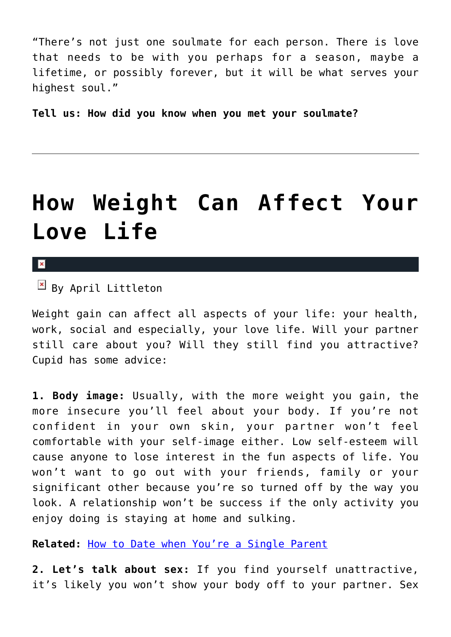"There's not just one soulmate for each person. There is love that needs to be with you perhaps for a season, maybe a lifetime, or possibly forever, but it will be what serves your highest soul."

**Tell us: How did you know when you met your soulmate?**

### **[How Weight Can Affect Your](https://cupidspulse.com/70588/how-weight-affect-love-life/) [Love Life](https://cupidspulse.com/70588/how-weight-affect-love-life/)**

 $\mathbf{x}$ 

 $B$  By April Littleton

Weight gain can affect all aspects of your life: your health, work, social and especially, your love life. Will your partner still care about you? Will they still find you attractive? Cupid has some advice:

**1. Body image:** Usually, with the more weight you gain, the more insecure you'll feel about your body. If you're not confident in your own skin, your partner won't feel comfortable with your self-image either. Low self-esteem will cause anyone to lose interest in the fun aspects of life. You won't want to go out with your friends, family or your significant other because you're so turned off by the way you look. A relationship won't be success if the only activity you enjoy doing is staying at home and sulking.

**Related:** [How to Date when You're a Single Parent](http://cupidspulse.com/date-single-parent/)

**2. Let's talk about sex:** If you find yourself unattractive, it's likely you won't show your body off to your partner. Sex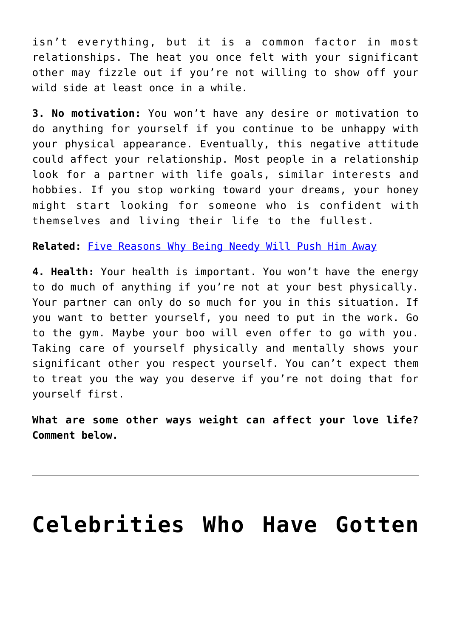isn't everything, but it is a common factor in most relationships. The heat you once felt with your significant other may fizzle out if you're not willing to show off your wild side at least once in a while.

**3. No motivation:** You won't have any desire or motivation to do anything for yourself if you continue to be unhappy with your physical appearance. Eventually, this negative attitude could affect your relationship. Most people in a relationship look for a partner with life goals, similar interests and hobbies. If you stop working toward your dreams, your honey might start looking for someone who is confident with themselves and living their life to the fullest.

**Related:** [Five Reasons Why Being Needy Will Push Him Away](http://cupidspulse.com/five-reasons-why-being-needy-will-push-him-away/)

**4. Health:** Your health is important. You won't have the energy to do much of anything if you're not at your best physically. Your partner can only do so much for you in this situation. If you want to better yourself, you need to put in the work. Go to the gym. Maybe your boo will even offer to go with you. Taking care of yourself physically and mentally shows your significant other you respect yourself. You can't expect them to treat you the way you deserve if you're not doing that for yourself first.

**What are some other ways weight can affect your love life? Comment below.**

### **[Celebrities Who Have Gotten](https://cupidspulse.com/70570/celebrities-back-together-after-cheating-scandal/)**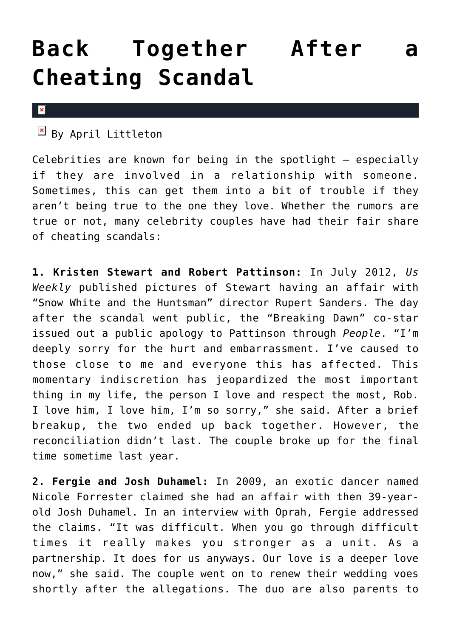### **[Back Together After a](https://cupidspulse.com/70570/celebrities-back-together-after-cheating-scandal/) [Cheating Scandal](https://cupidspulse.com/70570/celebrities-back-together-after-cheating-scandal/)**

#### $\pmb{\times}$

 $\boxed{\times}$  By April Littleton

Celebrities are known for being in the spotlight – especially if they are involved in a relationship with someone. Sometimes, this can get them into a bit of trouble if they aren't being true to the one they love. Whether the rumors are true or not, many celebrity couples have had their fair share of cheating scandals:

**1. Kristen Stewart and Robert Pattinson:** In July 2012, *Us Weekly* published pictures of Stewart having an affair with "Snow White and the Huntsman" director Rupert Sanders. The day after the scandal went public, the "Breaking Dawn" co-star issued out a public apology to Pattinson through *People*. "I'm deeply sorry for the hurt and embarrassment. I've caused to those close to me and everyone this has affected. This momentary indiscretion has jeopardized the most important thing in my life, the person I love and respect the most, Rob. I love him, I love him, I'm so sorry," she said. After a brief breakup, the two ended up back together. However, the reconciliation didn't last. The couple broke up for the final time sometime last year.

**2. Fergie and Josh Duhamel:** In 2009, an exotic dancer named Nicole Forrester claimed she had an affair with then 39-yearold Josh Duhamel. In an interview with Oprah, Fergie addressed the claims. "It was difficult. When you go through difficult times it really makes you stronger as a unit. As a partnership. It does for us anyways. Our love is a deeper love now," she said. The couple went on to renew their wedding voes shortly after the allegations. The duo are also parents to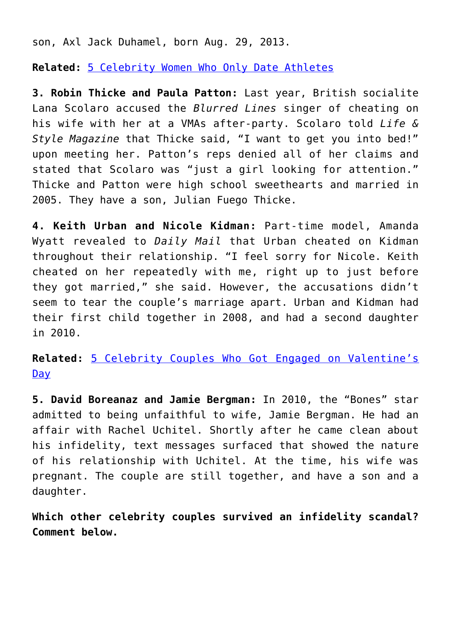son, Axl Jack Duhamel, born Aug. 29, 2013.

**Related:** [5 Celebrity Women Who Only Date Athletes](http://cupidspulse.com/5-celebrity-women-who-only-date-athletes/)

**3. Robin Thicke and Paula Patton:** Last year, British socialite Lana Scolaro accused the *Blurred Lines* singer of cheating on his wife with her at a VMAs after-party. Scolaro told *Life & Style Magazine* that Thicke said, "I want to get you into bed!" upon meeting her. Patton's reps denied all of her claims and stated that Scolaro was "just a girl looking for attention." Thicke and Patton were high school sweethearts and married in 2005. They have a son, Julian Fuego Thicke.

**4. Keith Urban and Nicole Kidman:** Part-time model, Amanda Wyatt revealed to *Daily Mail* that Urban cheated on Kidman throughout their relationship. "I feel sorry for Nicole. Keith cheated on her repeatedly with me, right up to just before they got married," she said. However, the accusations didn't seem to tear the couple's marriage apart. Urban and Kidman had their first child together in 2008, and had a second daughter in 2010.

**Related:** [5 Celebrity Couples Who Got Engaged on Valentine's](http://cupidspulse.com/5-celebrity-couples-engaged-valentines-day/) [Day](http://cupidspulse.com/5-celebrity-couples-engaged-valentines-day/)

**5. David Boreanaz and Jamie Bergman:** In 2010, the "Bones" star admitted to being unfaithful to wife, Jamie Bergman. He had an affair with Rachel Uchitel. Shortly after he came clean about his infidelity, text messages surfaced that showed the nature of his relationship with Uchitel. At the time, his wife was pregnant. The couple are still together, and have a son and a daughter.

**Which other celebrity couples survived an infidelity scandal? Comment below.**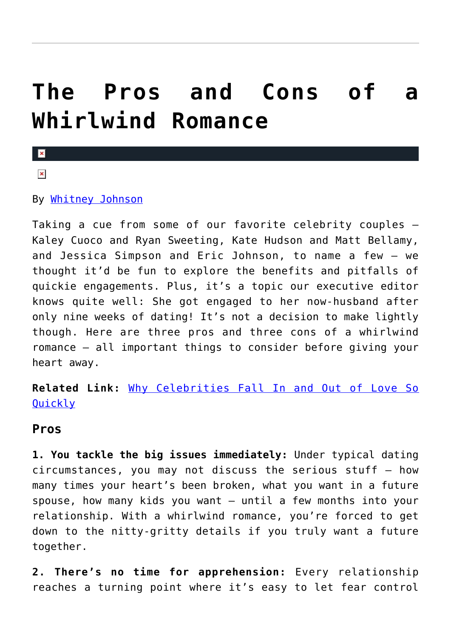### **[The Pros and Cons of a](https://cupidspulse.com/68500/the-pros-and-cons-of-a-whirlwind-romance/) [Whirlwind Romance](https://cupidspulse.com/68500/the-pros-and-cons-of-a-whirlwind-romance/)**

 $\overline{\mathbf{x}}$ 

 $\pmb{\times}$ 

#### By [Whitney Johnson](http://cupidspulse.com/104601/whitney-johnson/)

Taking a cue from some of our favorite celebrity couples — Kaley Cuoco and Ryan Sweeting, Kate Hudson and Matt Bellamy, and Jessica Simpson and Eric Johnson, to name a few — we thought it'd be fun to explore the benefits and pitfalls of quickie engagements. Plus, it's a topic our executive editor knows quite well: She got engaged to her now-husband after only nine weeks of dating! It's not a decision to make lightly though. Here are three pros and three cons of a whirlwind romance — all important things to consider before giving your heart away.

**Related Link:** [Why Celebrities Fall In and Out of Love So](http://cupidspulse.com/why-celebrities-fall-in-out-love-quickly-whirlwind-romance-heartbreak-divorce/) **[Quickly](http://cupidspulse.com/why-celebrities-fall-in-out-love-quickly-whirlwind-romance-heartbreak-divorce/)** 

#### **Pros**

**1. You tackle the big issues immediately:** Under typical dating circumstances, you may not discuss the serious stuff — how many times your heart's been broken, what you want in a future spouse, how many kids you want — until a few months into your relationship. With a whirlwind romance, you're forced to get down to the nitty-gritty details if you truly want a future together.

**2. There's no time for apprehension:** Every relationship reaches a turning point where it's easy to let fear control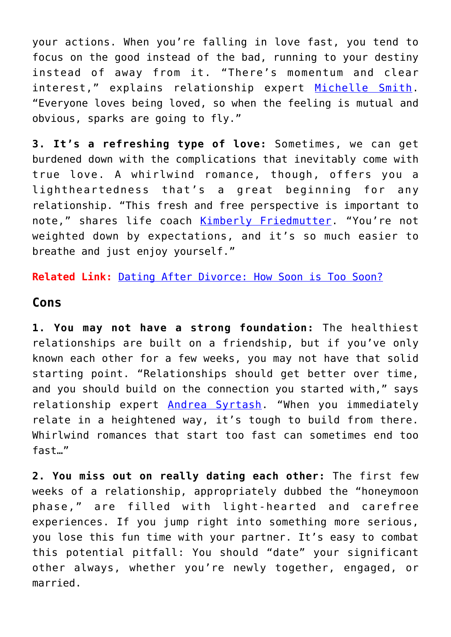your actions. When you're falling in love fast, you tend to focus on the good instead of the bad, running to your destiny instead of away from it. "There's momentum and clear interest," explains relationship expert [Michelle Smith.](http://www.marketing2marriage.com) "Everyone loves being loved, so when the feeling is mutual and obvious, sparks are going to fly."

**3. It's a refreshing type of love:** Sometimes, we can get burdened down with the complications that inevitably come with true love. A whirlwind romance, though, offers you a lightheartedness that's a great beginning for any relationship. "This fresh and free perspective is important to note," shares life coach [Kimberly Friedmutter](http://www.kimberlyfriedmutter.com). "You're not weighted down by expectations, and it's so much easier to breathe and just enjoy yourself."

**Related Link:** [Dating After Divorce: How Soon is Too Soon?](http://cupidspulse.com/marni-battista-dating-after-divorce-kim-kardashian/)

#### **Cons**

**1. You may not have a strong foundation:** The healthiest relationships are built on a friendship, but if you've only known each other for a few weeks, you may not have that solid starting point. "Relationships should get better over time, and you should build on the connection you started with," says relationship expert [Andrea Syrtash.](http://www.andreasyrtash.com/) "When you immediately relate in a heightened way, it's tough to build from there. Whirlwind romances that start too fast can sometimes end too fast…"

**2. You miss out on really dating each other:** The first few weeks of a relationship, appropriately dubbed the "honeymoon phase," are filled with light-hearted and carefree experiences. If you jump right into something more serious, you lose this fun time with your partner. It's easy to combat this potential pitfall: You should "date" your significant other always, whether you're newly together, engaged, or married.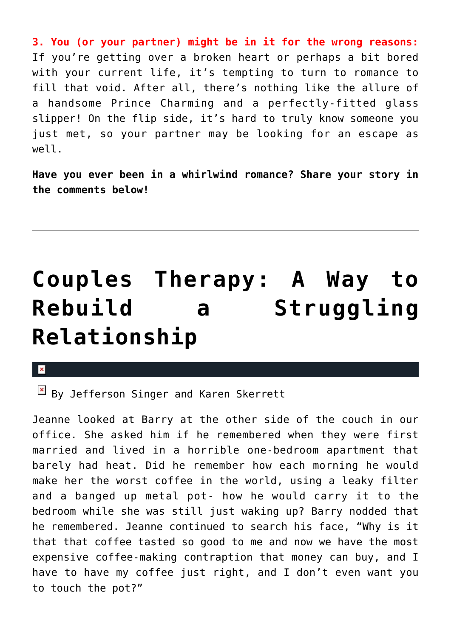**3. You (or your partner) might be in it for the wrong reasons:** If you're getting over a broken heart or perhaps a bit bored with your current life, it's tempting to turn to romance to fill that void. After all, there's nothing like the allure of a handsome Prince Charming and a perfectly-fitted glass slipper! On the flip side, it's hard to truly know someone you just met, so your partner may be looking for an escape as well.

**Have you ever been in a whirlwind romance? Share your story in the comments below!**

# **[Couples Therapy: A Way to](https://cupidspulse.com/71017/couples-therapy-rebuild-relationship/) [Rebuild a Struggling](https://cupidspulse.com/71017/couples-therapy-rebuild-relationship/) [Relationship](https://cupidspulse.com/71017/couples-therapy-rebuild-relationship/)**

x

 $\overline{B}$  By Jefferson Singer and Karen Skerrett

Jeanne looked at Barry at the other side of the couch in our office. She asked him if he remembered when they were first married and lived in a horrible one-bedroom apartment that barely had heat. Did he remember how each morning he would make her the worst coffee in the world, using a leaky filter and a banged up metal pot- how he would carry it to the bedroom while she was still just waking up? Barry nodded that he remembered. Jeanne continued to search his face, "Why is it that that coffee tasted so good to me and now we have the most expensive coffee-making contraption that money can buy, and I have to have my coffee just right, and I don't even want you to touch the pot?"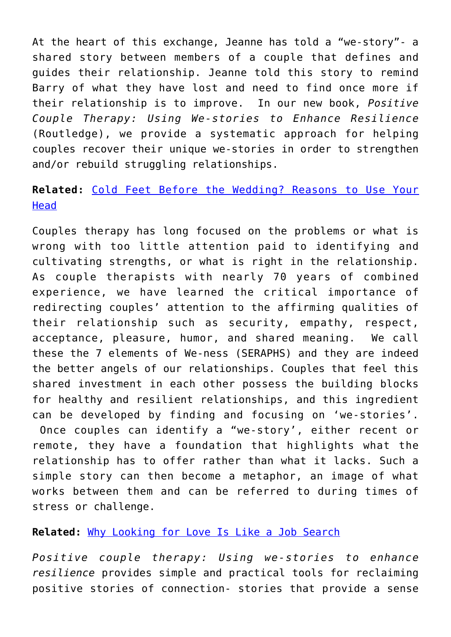At the heart of this exchange, Jeanne has told a "we-story"- a shared story between members of a couple that defines and guides their relationship. Jeanne told this story to remind Barry of what they have lost and need to find once more if their relationship is to improve. In our new book, *Positive Couple Therapy: Using We-stories to Enhance Resilience* (Routledge), we provide a systematic approach for helping couples recover their unique we-stories in order to strengthen and/or rebuild struggling relationships.

#### **Related:** [Cold Feet Before the Wedding? Reasons to Use Your](http://cupidspulse.com/cold-feet-before-wedding-reasons-use-head/) **[Head](http://cupidspulse.com/cold-feet-before-wedding-reasons-use-head/)**

Couples therapy has long focused on the problems or what is wrong with too little attention paid to identifying and cultivating strengths, or what is right in the relationship. As couple therapists with nearly 70 years of combined experience, we have learned the critical importance of redirecting couples' attention to the affirming qualities of their relationship such as security, empathy, respect, acceptance, pleasure, humor, and shared meaning. We call these the 7 elements of We-ness (SERAPHS) and they are indeed the better angels of our relationships. Couples that feel this shared investment in each other possess the building blocks for healthy and resilient relationships, and this ingredient can be developed by finding and focusing on 'we-stories'. Once couples can identify a "we-story', either recent or remote, they have a foundation that highlights what the relationship has to offer rather than what it lacks. Such a simple story can then become a metaphor, an image of what works between them and can be referred to during times of stress or challenge.

#### **Related:** [Why Looking for Love Is Like a Job Search](http://cupidspulse.com/why-finding-love-is-like-a-job-search/)

*Positive couple therapy: Using we-stories to enhance resilience* provides simple and practical tools for reclaiming positive stories of connection- stories that provide a sense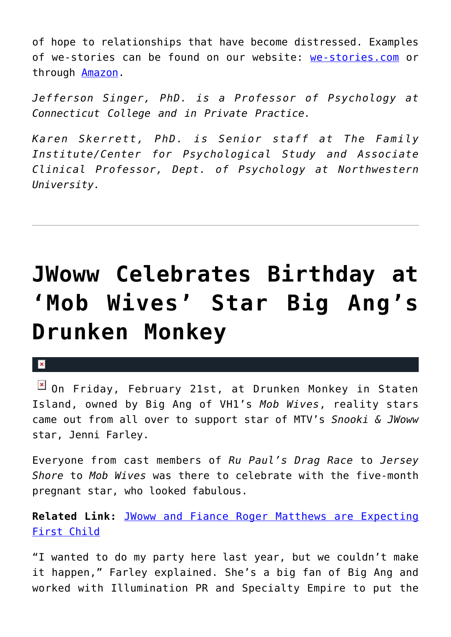of hope to relationships that have become distressed. Examples of we-stories can be found on our website: [we-stories.com](http://we-stories.com) or through [Amazon](http://www.amazon.com/positive-coule-therapy-we-stories-resilience/dp/0415824478).

*Jefferson Singer, PhD. is a Professor of Psychology at Connecticut College and in Private Practice.*

*Karen Skerrett, PhD. is Senior staff at The Family Institute/Center for Psychological Study and Associate Clinical Professor, Dept. of Psychology at Northwestern University.*

# **[JWoww Celebrates Birthday at](https://cupidspulse.com/70910/j-woww-celebrates-birthday-mob-wives-big-ang-drunken-monkey/) ['Mob Wives' Star Big Ang's](https://cupidspulse.com/70910/j-woww-celebrates-birthday-mob-wives-big-ang-drunken-monkey/) [Drunken Monkey](https://cupidspulse.com/70910/j-woww-celebrates-birthday-mob-wives-big-ang-drunken-monkey/)**

#### $\pmb{\times}$

**E** On Friday, February 21st, at Drunken Monkey in Staten Island, owned by Big Ang of VH1's *Mob Wives*, reality stars came out from all over to support star of MTV's *Snooki & JWoww* star, Jenni Farley.

Everyone from cast members of *Ru Paul's Drag Race* to *Jersey Shore* to *Mob Wives* was there to celebrate with the five-month pregnant star, who looked fabulous.

**Related Link:** [JWoww and Fiance Roger Matthews are Expecting](http://cupidspulse.com/jwoww-and-fiance-roger-matthews-are-expecting-first-child/) [First Child](http://cupidspulse.com/jwoww-and-fiance-roger-matthews-are-expecting-first-child/)

"I wanted to do my party here last year, but we couldn't make it happen," Farley explained. She's a big fan of Big Ang and worked with Illumination PR and Specialty Empire to put the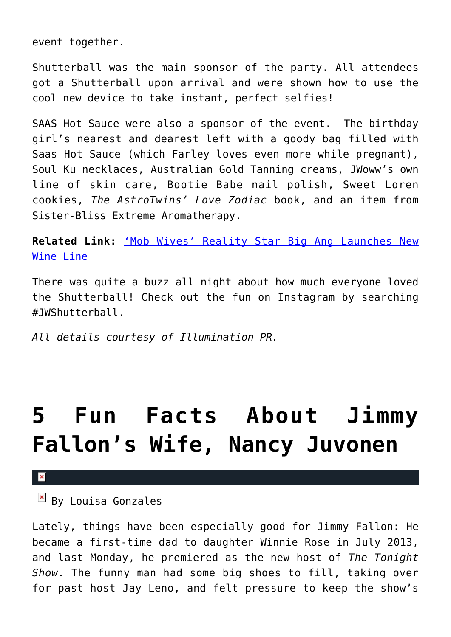event together.

Shutterball was the main sponsor of the party. All attendees got a Shutterball upon arrival and were shown how to use the cool new device to take instant, perfect selfies!

SAAS Hot Sauce were also a sponsor of the event. The birthday girl's nearest and dearest left with a goody bag filled with Saas Hot Sauce (which Farley loves even more while pregnant), Soul Ku necklaces, Australian Gold Tanning creams, JWoww's own line of skin care, Bootie Babe nail polish, Sweet Loren cookies, *The AstroTwins' Love Zodiac* book, and an item from Sister-Bliss Extreme Aromatherapy.

**Related Link:** ['Mob Wives' Reality Star Big Ang Launches New](http://cupidspulse.com/mob-wives-miami-monkey-big-ang-launches-new-wine-and-relationships/) [Wine Line](http://cupidspulse.com/mob-wives-miami-monkey-big-ang-launches-new-wine-and-relationships/)

There was quite a buzz all night about how much everyone loved the Shutterball! Check out the fun on Instagram by searching #JWShutterball.

*All details courtesy of Illumination PR.*

### **[5 Fun Facts About Jimmy](https://cupidspulse.com/70462/5-fun-facts-about-jimmy-fallons-wife-nancy-juvonen/) [Fallon's Wife, Nancy Juvonen](https://cupidspulse.com/70462/5-fun-facts-about-jimmy-fallons-wife-nancy-juvonen/)**

 $\boxed{\mathbf{x}}$  By Louisa Gonzales

Lately, things have been especially good for Jimmy Fallon: He became a first-time dad to daughter Winnie Rose in July 2013, and last Monday, he premiered as the new host of *The Tonight Show*. The funny man had some big shoes to fill, taking over for past host Jay Leno, and felt pressure to keep the show's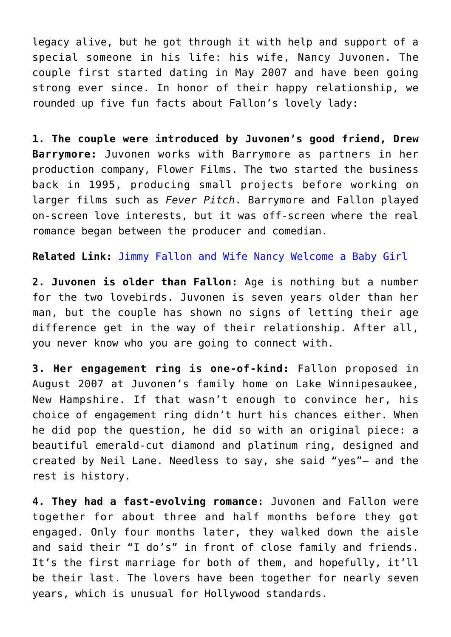legacy alive, but he got through it with help and support of a special someone in his life: his wife, Nancy Juvonen. The couple first started dating in May 2007 and have been going strong ever since. In honor of their happy relationship, we rounded up five fun facts about Fallon's lovely lady:

**1. The couple were introduced by Juvonen's good friend, Drew Barrymore:** Juvonen works with Barrymore as partners in her production company, Flower Films. The two started the business back in 1995, producing small projects before working on larger films such as *Fever Pitch*. Barrymore and Fallon played on-screen love interests, but it was off-screen where the real romance began between the producer and comedian.

**Related Link[:](http://cupidspulse.com/jimmy-fallon-wife-nancy-welcome-baby-girl/)** [Jimmy Fallon and Wife Nancy Welcome a Baby Girl](http://cupidspulse.com/jimmy-fallon-wife-nancy-welcome-baby-girl/)

**2. Juvonen is older than Fallon:** Age is nothing but a number for the two lovebirds. Juvonen is seven years older than her man, but the couple has shown no signs of letting their age difference get in the way of their relationship. After all, you never know who you are going to connect with.

**3. Her engagement ring is one-of-kind:** Fallon proposed in August 2007 at Juvonen's family home on Lake Winnipesaukee, New Hampshire. If that wasn't enough to convince her, his choice of engagement ring didn't hurt his chances either. When he did pop the question, he did so with an original piece: a beautiful emerald-cut diamond and platinum ring, designed and created by Neil Lane. Needless to say, she said "yes"– and the rest is history.

**4. They had a fast-evolving romance:** Juvonen and Fallon were together for about three and half months before they got engaged. Only four months later, they walked down the aisle and said their "I do's" in front of close family and friends. It's the first marriage for both of them, and hopefully, it'll be their last. The lovers have been together for nearly seven years, which is unusual for Hollywood standards.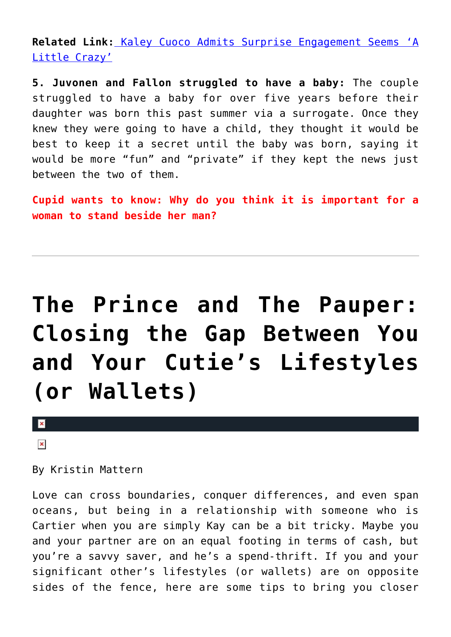**Related Link:** [Kaley Cuoco Admits Surprise Engagement Seems 'A](http://cupidspulse.com/kaley-cuoco-surprise-engagement/) [Little Crazy'](http://cupidspulse.com/kaley-cuoco-surprise-engagement/)

**5. Juvonen and Fallon struggled to have a baby:** The couple struggled to have a baby for over five years before their daughter was born this past summer via a surrogate. Once they knew they were going to have a child, they thought it would be best to keep it a secret until the baby was born, saying it would be more "fun" and "private" if they kept the news just between the two of them.

**Cupid wants to know: Why do you think it is important for a woman to stand beside her man?** 

# **[The Prince and The Pauper:](https://cupidspulse.com/68495/dealing-with-lifestyle-differences-spending-habits/) [Closing the Gap Between You](https://cupidspulse.com/68495/dealing-with-lifestyle-differences-spending-habits/) [and Your Cutie's Lifestyles](https://cupidspulse.com/68495/dealing-with-lifestyle-differences-spending-habits/) [\(or Wallets\)](https://cupidspulse.com/68495/dealing-with-lifestyle-differences-spending-habits/)**

 $\vert \mathbf{x} \vert$ 

 $\pmb{\times}$ 

By Kristin Mattern

Love can cross boundaries, conquer differences, and even span oceans, but being in a relationship with someone who is Cartier when you are simply Kay can be a bit tricky. Maybe you and your partner are on an equal footing in terms of cash, but you're a savvy saver, and he's a spend-thrift. If you and your significant other's lifestyles (or wallets) are on opposite sides of the fence, here are some tips to bring you closer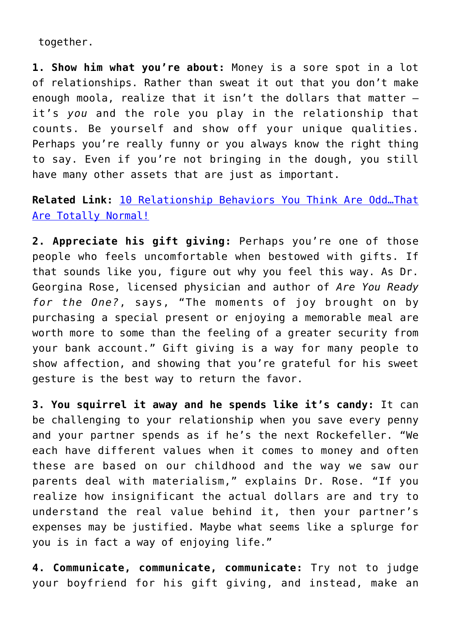together.

**1. Show him what you're about:** Money is a sore spot in a lot of relationships. Rather than sweat it out that you don't make enough moola, realize that it isn't the dollars that matter – it's *you* and the role you play in the relationship that counts. Be yourself and show off your unique qualities. Perhaps you're really funny or you always know the right thing to say. Even if you're not bringing in the dough, you still have many other assets that are just as important.

**Related Link:** [10 Relationship Behaviors You Think Are Odd…That](http://cupidspulse.com/10-relationship-behaviors-that-are-normal/) [Are Totally Normal!](http://cupidspulse.com/10-relationship-behaviors-that-are-normal/)

**2. Appreciate his gift giving:** Perhaps you're one of those people who feels uncomfortable when bestowed with gifts. If that sounds like you, figure out why you feel this way. As Dr. Georgina Rose, licensed physician and author of *Are You Ready for the One?*, says, "The moments of joy brought on by purchasing a special present or enjoying a memorable meal are worth more to some than the feeling of a greater security from your bank account." Gift giving is a way for many people to show affection, and showing that you're grateful for his sweet gesture is the best way to return the favor.

**3. You squirrel it away and he spends like it's candy:** It can be challenging to your relationship when you save every penny and your partner spends as if he's the next Rockefeller. "We each have different values when it comes to money and often these are based on our childhood and the way we saw our parents deal with materialism," explains Dr. Rose. "If you realize how insignificant the actual dollars are and try to understand the real value behind it, then your partner's expenses may be justified. Maybe what seems like a splurge for you is in fact a way of enjoying life."

**4. Communicate, communicate, communicate:** Try not to judge your boyfriend for his gift giving, and instead, make an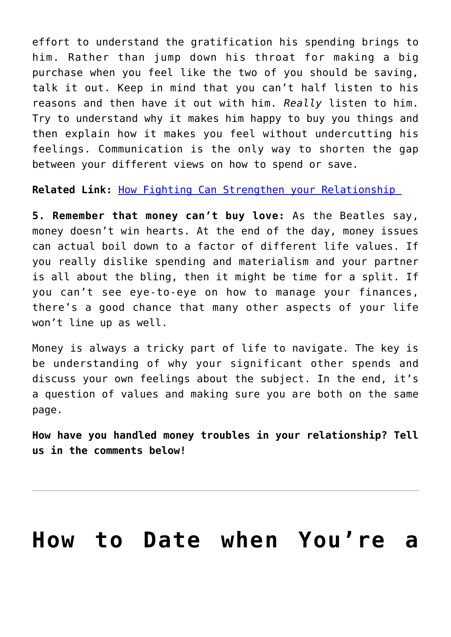effort to understand the gratification his spending brings to him. Rather than jump down his throat for making a big purchase when you feel like the two of you should be saving, talk it out. Keep in mind that you can't half listen to his reasons and then have it out with him. *Really* listen to him. Try to understand why it makes him happy to buy you things and then explain how it makes you feel without undercutting his feelings. Communication is the only way to shorten the gap between your different views on how to spend or save.

**Related Link:** [How Fighting Can Strengthen your Relationship](http://cupidspulse.com/fighting-can-stregthen-your-relationship/) 

**5. Remember that money can't buy love:** As the Beatles say, money doesn't win hearts. At the end of the day, money issues can actual boil down to a factor of different life values. If you really dislike spending and materialism and your partner is all about the bling, then it might be time for a split. If you can't see eye-to-eye on how to manage your finances, there's a good chance that many other aspects of your life won't line up as well.

Money is always a tricky part of life to navigate. The key is be understanding of why your significant other spends and discuss your own feelings about the subject. In the end, it's a question of values and making sure you are both on the same page.

**How have you handled money troubles in your relationship? Tell us in the comments below!**

### **[How to Date when You're a](https://cupidspulse.com/68333/date-single-parent/)**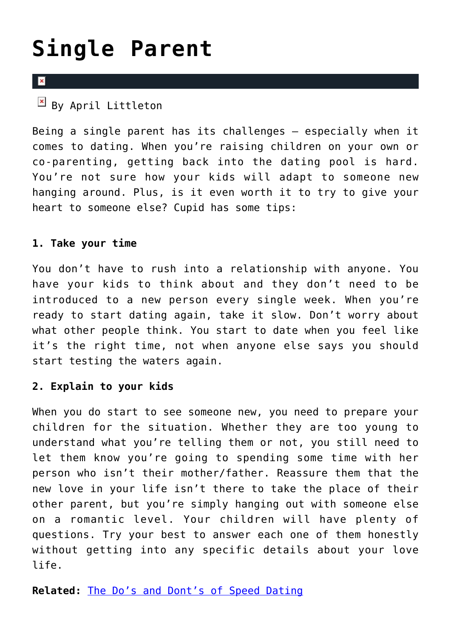# **[Single Parent](https://cupidspulse.com/68333/date-single-parent/)**

#### $\overline{\mathbf{x}}$

 $\overline{B}$  By April Littleton

Being a single parent has its challenges – especially when it comes to dating. When you're raising children on your own or co-parenting, getting back into the dating pool is hard. You're not sure how your kids will adapt to someone new hanging around. Plus, is it even worth it to try to give your heart to someone else? Cupid has some tips:

#### **1. Take your time**

You don't have to rush into a relationship with anyone. You have your kids to think about and they don't need to be introduced to a new person every single week. When you're ready to start dating again, take it slow. Don't worry about what other people think. You start to date when you feel like it's the right time, not when anyone else says you should start testing the waters again.

#### **2. Explain to your kids**

When you do start to see someone new, you need to prepare your children for the situation. Whether they are too young to understand what you're telling them or not, you still need to let them know you're going to spending some time with her person who isn't their mother/father. Reassure them that the new love in your life isn't there to take the place of their other parent, but you're simply hanging out with someone else on a romantic level. Your children will have plenty of questions. Try your best to answer each one of them honestly without getting into any specific details about your love life.

**Related:** [The Do's and Dont's of Speed Dating](http://cupidspulse.com/the-dos-and-donts-speed-dating/)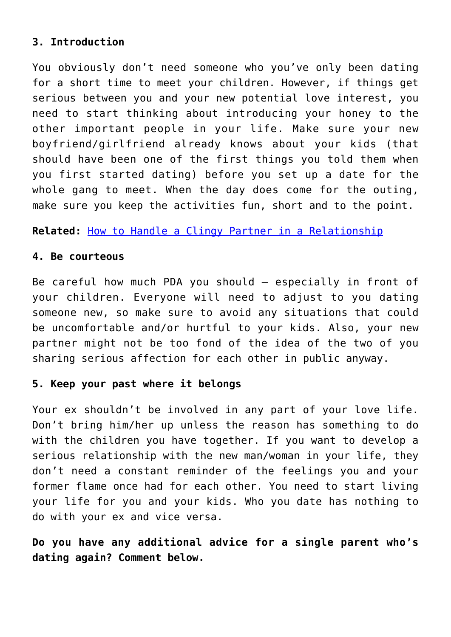#### **3. Introduction**

You obviously don't need someone who you've only been dating for a short time to meet your children. However, if things get serious between you and your new potential love interest, you need to start thinking about introducing your honey to the other important people in your life. Make sure your new boyfriend/girlfriend already knows about your kids (that should have been one of the first things you told them when you first started dating) before you set up a date for the whole gang to meet. When the day does come for the outing, make sure you keep the activities fun, short and to the point.

**Related:** [How to Handle a Clingy Partner in a Relationship](http://cupidspulse.com/handle-clingy-partner-relationship/)

#### **4. Be courteous**

Be careful how much PDA you should – especially in front of your children. Everyone will need to adjust to you dating someone new, so make sure to avoid any situations that could be uncomfortable and/or hurtful to your kids. Also, your new partner might not be too fond of the idea of the two of you sharing serious affection for each other in public anyway.

#### **5. Keep your past where it belongs**

Your ex shouldn't be involved in any part of your love life. Don't bring him/her up unless the reason has something to do with the children you have together. If you want to develop a serious relationship with the new man/woman in your life, they don't need a constant reminder of the feelings you and your former flame once had for each other. You need to start living your life for you and your kids. Who you date has nothing to do with your ex and vice versa.

**Do you have any additional advice for a single parent who's dating again? Comment below.**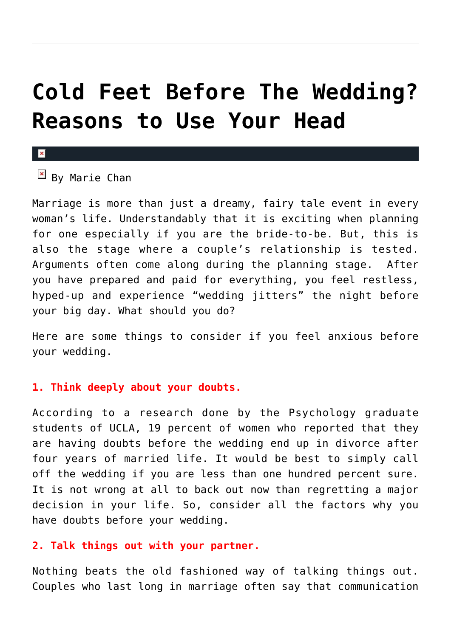### **[Cold Feet Before The Wedding?](https://cupidspulse.com/70418/cold-feet-before-wedding-reasons-use-head/) [Reasons to Use Your Head](https://cupidspulse.com/70418/cold-feet-before-wedding-reasons-use-head/)**

#### $\mathbf x$

#### $\mathbb{F}$  By Marie Chan

Marriage is more than just a dreamy, fairy tale event in every woman's life. Understandably that it is exciting when planning for one especially if you are the bride-to-be. But, this is also the stage where a couple's relationship is tested. Arguments often come along during the planning stage. After you have prepared and paid for everything, you feel restless, hyped-up and experience "wedding jitters" the night before your big day. What should you do?

Here are some things to consider if you feel anxious before your wedding.

#### **1. Think deeply about your doubts.**

According to a research done by the Psychology graduate students of UCLA, 19 percent of women who reported that they are having doubts before the wedding end up in divorce after four years of married life. It would be best to simply call off the wedding if you are less than one hundred percent sure. It is not wrong at all to back out now than regretting a major decision in your life. So, consider all the factors why you have doubts before your wedding.

#### **2. Talk things out with your partner.**

Nothing beats the old fashioned way of talking things out. Couples who last long in marriage often say that communication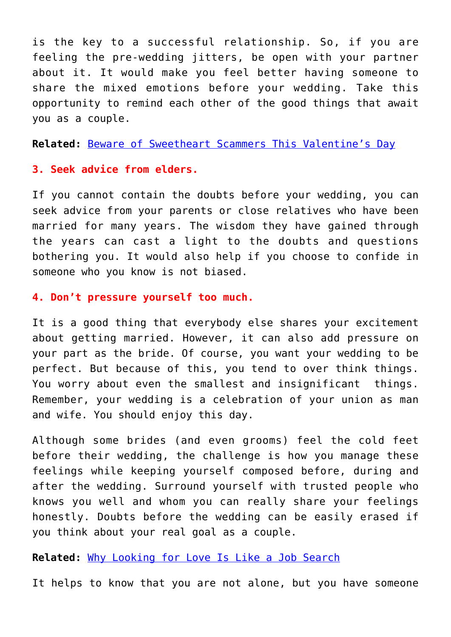is the key to a successful relationship. So, if you are feeling the pre-wedding jitters, be open with your partner about it. It would make you feel better having someone to share the mixed emotions before your wedding. Take this opportunity to remind each other of the good things that await you as a couple.

**Related:** [Beware of Sweetheart Scammers This Valentine's Day](http://cupidspulse.com/beware-sweetheart-scammers-valentines-day/)

#### **3. Seek advice from elders.**

If you cannot contain the doubts before your wedding, you can seek advice from your parents or close relatives who have been married for many years. The wisdom they have gained through the years can cast a light to the doubts and questions bothering you. It would also help if you choose to confide in someone who you know is not biased.

#### **4. Don't pressure yourself too much.**

It is a good thing that everybody else shares your excitement about getting married. However, it can also add pressure on your part as the bride. Of course, you want your wedding to be perfect. But because of this, you tend to over think things. You worry about even the smallest and insignificant things. Remember, your wedding is a celebration of your union as man and wife. You should enjoy this day.

Although some brides (and even grooms) feel the cold feet before their wedding, the challenge is how you manage these feelings while keeping yourself composed before, during and after the wedding. Surround yourself with trusted people who knows you well and whom you can really share your feelings honestly. Doubts before the wedding can be easily erased if you think about your real goal as a couple.

**Related:** [Why Looking for Love Is Like a Job Search](http://cupidspulse.com/why-finding-love-is-like-a-job-search/)

It helps to know that you are not alone, but you have someone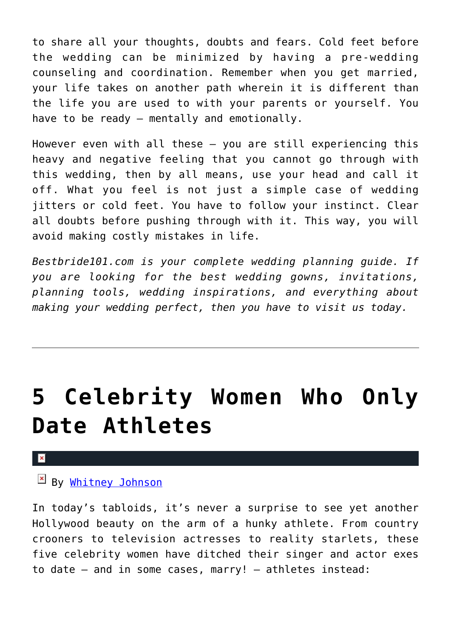to share all your thoughts, doubts and fears. Cold feet before the wedding can be minimized by having a pre-wedding counseling and coordination. Remember when you get married, your life takes on another path wherein it is different than the life you are used to with your parents or yourself. You have to be ready — mentally and emotionally.

However even with all these — you are still experiencing this heavy and negative feeling that you cannot go through with this wedding, then by all means, use your head and call it off. What you feel is not just a simple case of wedding jitters or cold feet. You have to follow your instinct. Clear all doubts before pushing through with it. This way, you will avoid making costly mistakes in life.

*Bestbride101.com is your complete wedding planning guide. If you are looking for the best wedding gowns, invitations, planning tools, wedding inspirations, and everything about making your wedding perfect, then you have to visit us today.*

# **[5 Celebrity Women Who Only](https://cupidspulse.com/68367/5-celebrity-women-who-only-date-athletes/) [Date Athletes](https://cupidspulse.com/68367/5-celebrity-women-who-only-date-athletes/)**

### By [Whitney Johnson](http://cupidspulse.com/104601/whitney-johnson/)

In today's tabloids, it's never a surprise to see yet another Hollywood beauty on the arm of a hunky athlete. From country crooners to television actresses to reality starlets, these five celebrity women have ditched their singer and actor exes to date — and in some cases, marry! — athletes instead: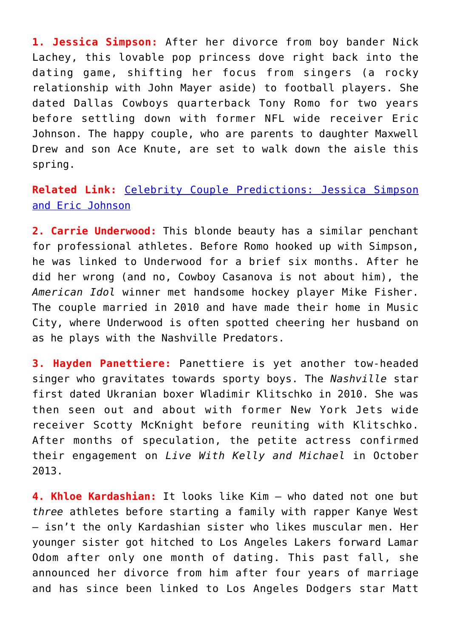**1. Jessica Simpson:** After her divorce from boy bander Nick Lachey, this lovable pop princess dove right back into the dating game, shifting her focus from singers (a rocky relationship with John Mayer aside) to football players. She dated Dallas Cowboys quarterback Tony Romo for two years before settling down with former NFL wide receiver Eric Johnson. The happy couple, who are parents to daughter Maxwell Drew and son Ace Knute, are set to walk down the aisle this spring.

#### **Related Link:** [Celebrity Couple Predictions: Jessica Simpson](http://cupidspulse.com/yolanda-shoshana-celebrity-couple-predictions-jessica-simpson-miranda-kerr-beyonce/) [and Eric Johnson](http://cupidspulse.com/yolanda-shoshana-celebrity-couple-predictions-jessica-simpson-miranda-kerr-beyonce/)

**2. Carrie Underwood:** This blonde beauty has a similar penchant for professional athletes. Before Romo hooked up with Simpson, he was linked to Underwood for a brief six months. After he did her wrong (and no, Cowboy Casanova is not about him), the *American Idol* winner met handsome hockey player Mike Fisher. The couple married in 2010 and have made their home in Music City, where Underwood is often spotted cheering her husband on as he plays with the Nashville Predators.

**3. Hayden Panettiere:** Panettiere is yet another tow-headed singer who gravitates towards sporty boys. The *Nashville* star first dated Ukranian boxer Wladimir Klitschko in 2010. She was then seen out and about with former New York Jets wide receiver Scotty McKnight before reuniting with Klitschko. After months of speculation, the petite actress confirmed their engagement on *Live With Kelly and Michael* in October 2013.

**4. Khloe Kardashian:** It looks like Kim — who dated not one but *three* athletes before starting a family with rapper Kanye West — isn't the only Kardashian sister who likes muscular men. Her younger sister got hitched to Los Angeles Lakers forward Lamar Odom after only one month of dating. This past fall, she announced her divorce from him after four years of marriage and has since been linked to Los Angeles Dodgers star Matt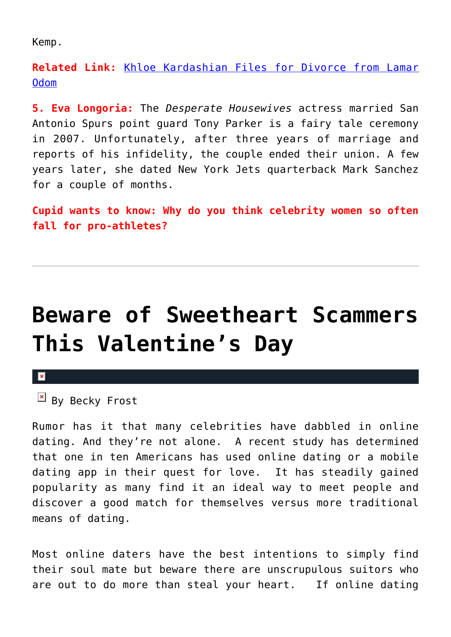Kemp.

**Related Link:** [Khloe Kardashian Files for Divorce from Lamar](http://cupidspulse.com/khloe-kardashian-divorce-lamar-odom/) [Odom](http://cupidspulse.com/khloe-kardashian-divorce-lamar-odom/)

**5. Eva Longoria:** The *Desperate Housewives* actress married San Antonio Spurs point guard Tony Parker is a fairy tale ceremony in 2007. Unfortunately, after three years of marriage and reports of his infidelity, the couple ended their union. A few years later, she dated New York Jets quarterback Mark Sanchez for a couple of months.

**Cupid wants to know: Why do you think celebrity women so often fall for pro-athletes?**

### **[Beware of Sweetheart Scammers](https://cupidspulse.com/69588/beware-sweetheart-scammers-valentines-day/) [This Valentine's Day](https://cupidspulse.com/69588/beware-sweetheart-scammers-valentines-day/)**

#### $\pmb{\times}$

 $By$  Becky Frost

Rumor has it that many celebrities have dabbled in online dating. And they're not alone. A recent study has determined that one in ten Americans has used online dating or a mobile dating app in their quest for love. It has steadily gained popularity as many find it an ideal way to meet people and discover a good match for themselves versus more traditional means of dating.

Most online daters have the best intentions to simply find their soul mate but beware there are unscrupulous suitors who are out to do more than steal your heart. If online dating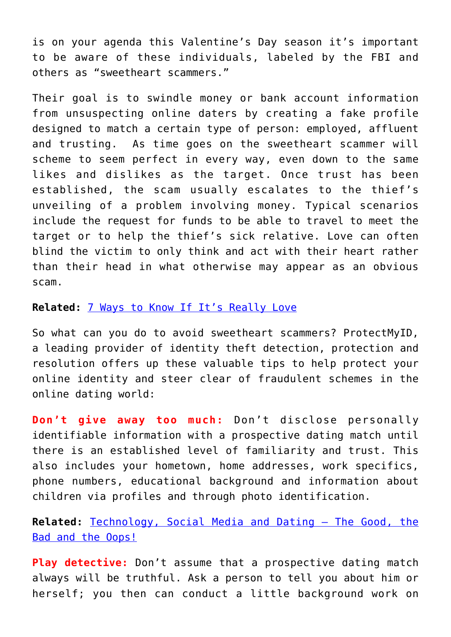is on your agenda this Valentine's Day season it's important to be aware of these individuals, labeled by the FBI and others as "sweetheart scammers."

Their goal is to swindle money or bank account information from unsuspecting online daters by creating a fake profile designed to match a certain type of person: employed, affluent and trusting. As time goes on the sweetheart scammer will scheme to seem perfect in every way, even down to the same likes and dislikes as the target. Once trust has been established, the scam usually escalates to the thief's unveiling of a problem involving money. Typical scenarios include the request for funds to be able to travel to meet the target or to help the thief's sick relative. Love can often blind the victim to only think and act with their heart rather than their head in what otherwise may appear as an obvious scam.

#### **Related:** [7 Ways to Know If It's Really Love](http://cupidspulse.com/7-ways-to-know-real-love/)

So what can you do to avoid sweetheart scammers? ProtectMyID, a leading provider of identity theft detection, protection and resolution offers up these valuable tips to help protect your online identity and steer clear of fraudulent schemes in the online dating world:

**Don't give away too much:** Don't disclose personally identifiable information with a prospective dating match until there is an established level of familiarity and trust. This also includes your hometown, home addresses, work specifics, phone numbers, educational background and information about children via profiles and through photo identification.

**Related:** [Technology, Social Media and Dating – The Good, the](http://cupidspulse.com/technology-social-media-dating-good-bad-oops/) [Bad and the Oops!](http://cupidspulse.com/technology-social-media-dating-good-bad-oops/)

**Play detective:** Don't assume that a prospective dating match always will be truthful. Ask a person to tell you about him or herself; you then can conduct a little background work on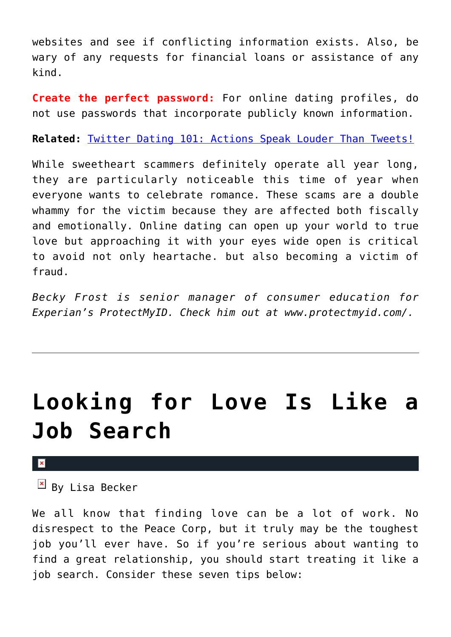websites and see if conflicting information exists. Also, be wary of any requests for financial loans or assistance of any kind.

**Create the perfect password:** For online dating profiles, do not use passwords that incorporate publicly known information.

**Related:** [Twitter Dating 101: Actions Speak Louder Than Tweets!](http://cupidspulse.com/twitter-dating-actions-louder-tweets/)

While sweetheart scammers definitely operate all year long, they are particularly noticeable this time of year when everyone wants to celebrate romance. These scams are a double whammy for the victim because they are affected both fiscally and emotionally. Online dating can open up your world to true love but approaching it with your eyes wide open is critical to avoid not only heartache. but also becoming a victim of fraud.

*Becky Frost is senior manager of consumer education for Experian's ProtectMyID. Check him out at www.protectmyid.com/.*

### **[Looking for Love Is Like a](https://cupidspulse.com/69648/why-finding-love-is-like-a-job-search/) [Job Search](https://cupidspulse.com/69648/why-finding-love-is-like-a-job-search/)**

#### $\mathbf x$

 $\overline{B}$  By Lisa Becker

We all know that finding love can be a lot of work. No disrespect to the Peace Corp, but it truly may be the toughest job you'll ever have. So if you're serious about wanting to find a great relationship, you should start treating it like a job search. Consider these seven tips below: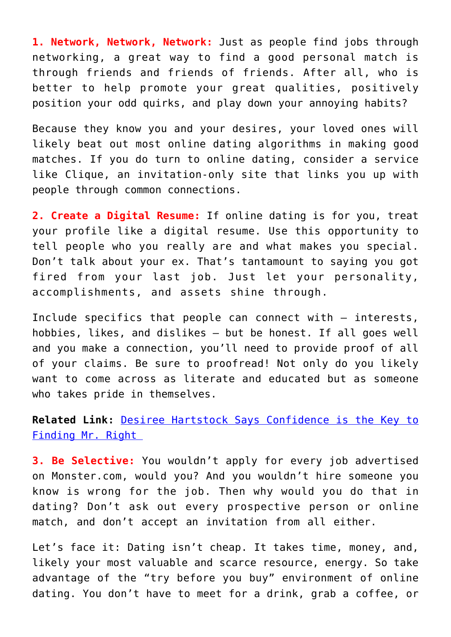**1. Network, Network, Network:** Just as people find jobs through networking, a great way to find a good personal match is through friends and friends of friends. After all, who is better to help promote your great qualities, positively position your odd quirks, and play down your annoying habits?

Because they know you and your desires, your loved ones will likely beat out most online dating algorithms in making good matches. If you do turn to online dating, consider a service like Clique, an invitation-only site that links you up with people through common connections.

**2. Create a Digital Resume:** If online dating is for you, treat your profile like a digital resume. Use this opportunity to tell people who you really are and what makes you special. Don't talk about your ex. That's tantamount to saying you got fired from your last job. Just let your personality, accomplishments, and assets shine through.

Include specifics that people can connect with — interests, hobbies, likes, and dislikes — but be honest. If all goes well and you make a connection, you'll need to provide proof of all of your claims. Be sure to proofread! Not only do you likely want to come across as literate and educated but as someone who takes pride in themselves.

**Related Link:** [Desiree Hartstock Says Confidence is the Key to](http://cupidspulse.com/desiree-hartsock-bachelorette-confidence-wedding/) [Finding Mr. Right](http://cupidspulse.com/desiree-hartsock-bachelorette-confidence-wedding/) 

**3. Be Selective:** You wouldn't apply for every job advertised on Monster.com, would you? And you wouldn't hire someone you know is wrong for the job. Then why would you do that in dating? Don't ask out every prospective person or online match, and don't accept an invitation from all either.

Let's face it: Dating isn't cheap. It takes time, money, and, likely your most valuable and scarce resource, energy. So take advantage of the "try before you buy" environment of online dating. You don't have to meet for a drink, grab a coffee, or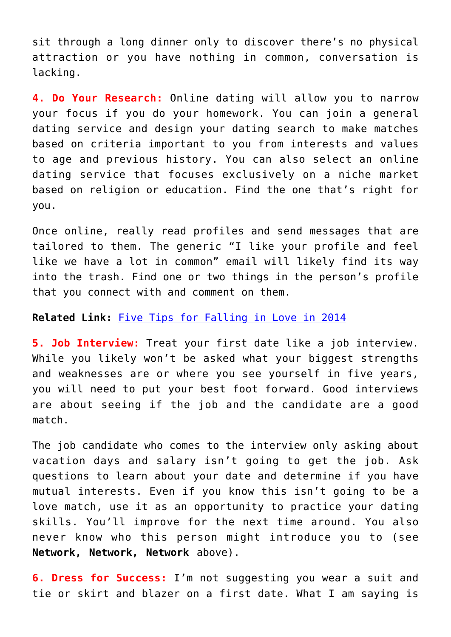sit through a long dinner only to discover there's no physical attraction or you have nothing in common, conversation is lacking.

**4. Do Your Research:** Online dating will allow you to narrow your focus if you do your homework. You can join a general dating service and design your dating search to make matches based on criteria important to you from interests and values to age and previous history. You can also select an online dating service that focuses exclusively on a niche market based on religion or education. Find the one that's right for you.

Once online, really read profiles and send messages that are tailored to them. The generic "I like your profile and feel like we have a lot in common" email will likely find its way into the trash. Find one or two things in the person's profile that you connect with and comment on them.

#### **Related Link:** [Five Tips for Falling in Love in 2014](http://cupidspulse.com/five-tips-for-falling-in-love-melanie-mar/)

**5. Job Interview:** Treat your first date like a job interview. While you likely won't be asked what your biggest strengths and weaknesses are or where you see yourself in five years, you will need to put your best foot forward. Good interviews are about seeing if the job and the candidate are a good match.

The job candidate who comes to the interview only asking about vacation days and salary isn't going to get the job. Ask questions to learn about your date and determine if you have mutual interests. Even if you know this isn't going to be a love match, use it as an opportunity to practice your dating skills. You'll improve for the next time around. You also never know who this person might introduce you to (see **Network, Network, Network** above).

**6. Dress for Success:** I'm not suggesting you wear a suit and tie or skirt and blazer on a first date. What I am saying is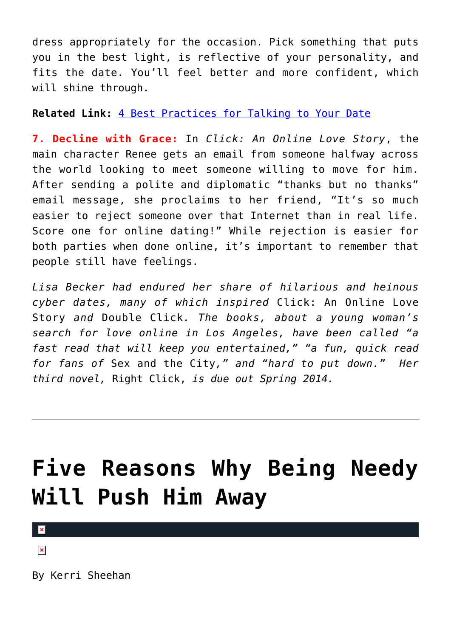dress appropriately for the occasion. Pick something that puts you in the best light, is reflective of your personality, and fits the date. You'll feel better and more confident, which will shine through.

#### **Related Link:** [4 Best Practices for Talking to Your Date](http://cupidspulse.com/4-practices-talk-to-date/)

**7. Decline with Grace:** In *Click: An Online Love Story*, the main character Renee gets an email from someone halfway across the world looking to meet someone willing to move for him. After sending a polite and diplomatic "thanks but no thanks" email message, she proclaims to her friend, "It's so much easier to reject someone over that Internet than in real life. Score one for online dating!" While rejection is easier for both parties when done online, it's important to remember that people still have feelings.

*Lisa Becker had endured her share of hilarious and heinous cyber dates, many of which inspired* Click: An Online Love Story *and* Double Click*. The books, about a young woman's search for love online in Los Angeles, have been called "a fast read that will keep you entertained," "a fun, quick read for fans of* Sex and the City*," and "hard to put down." Her third novel,* Right Click, *is due out Spring 2014.*

### **[Five Reasons Why Being Needy](https://cupidspulse.com/68032/five-reasons-why-being-needy-will-push-him-away/) [Will Push Him Away](https://cupidspulse.com/68032/five-reasons-why-being-needy-will-push-him-away/)**

 $\pmb{\times}$ 

 $\pmb{\times}$ 

By Kerri Sheehan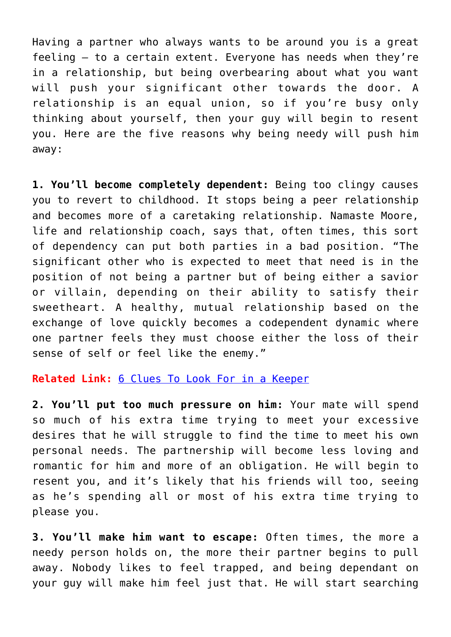Having a partner who always wants to be around you is a great feeling — to a certain extent. Everyone has needs when they're in a relationship, but being overbearing about what you want will push your significant other towards the door. A relationship is an equal union, so if you're busy only thinking about yourself, then your guy will begin to resent you. Here are the five reasons why being needy will push him away:

**1. You'll become completely dependent:** Being too clingy causes you to revert to childhood. It stops being a peer relationship and becomes more of a caretaking relationship. Namaste Moore, life and relationship coach, says that, often times, this sort of dependency can put both parties in a bad position. "The significant other who is expected to meet that need is in the position of not being a partner but of being either a savior or villain, depending on their ability to satisfy their sweetheart. A healthy, mutual relationship based on the exchange of love quickly becomes a codependent dynamic where one partner feels they must choose either the loss of their sense of self or feel like the enemy."

#### **Related Link:** [6 Clues To Look For in a Keeper](http://cupidspulse.com/6-clues-keeper/)

**2. You'll put too much pressure on him:** Your mate will spend so much of his extra time trying to meet your excessive desires that he will struggle to find the time to meet his own personal needs. The partnership will become less loving and romantic for him and more of an obligation. He will begin to resent you, and it's likely that his friends will too, seeing as he's spending all or most of his extra time trying to please you.

**3. You'll make him want to escape:** Often times, the more a needy person holds on, the more their partner begins to pull away. Nobody likes to feel trapped, and being dependant on your guy will make him feel just that. He will start searching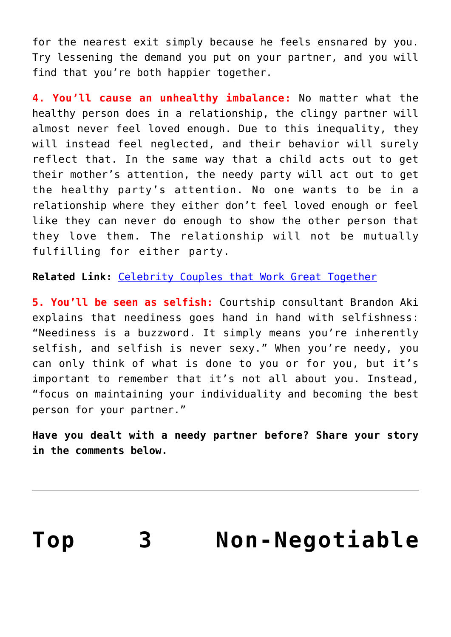for the nearest exit simply because he feels ensnared by you. Try lessening the demand you put on your partner, and you will find that you're both happier together.

**4. You'll cause an unhealthy imbalance:** No matter what the healthy person does in a relationship, the clingy partner will almost never feel loved enough. Due to this inequality, they will instead feel neglected, and their behavior will surely reflect that. In the same way that a child acts out to get their mother's attention, the needy party will act out to get the healthy party's attention. No one wants to be in a relationship where they either don't feel loved enough or feel like they can never do enough to show the other person that they love them. The relationship will not be mutually fulfilling for either party.

**Related Link:** [Celebrity Couples that Work Great Together](http://cupidspulse.com/celebrity-couples-work-great-together-2/)

**5. You'll be seen as selfish:** Courtship consultant Brandon Aki explains that neediness goes hand in hand with selfishness: "Neediness is a buzzword. It simply means you're inherently selfish, and selfish is never sexy." When you're needy, you can only think of what is done to you or for you, but it's important to remember that it's not all about you. Instead, "focus on maintaining your individuality and becoming the best person for your partner."

**Have you dealt with a needy partner before? Share your story in the comments below.**

| Top | <b>Non-Negotiable</b> |
|-----|-----------------------|
|-----|-----------------------|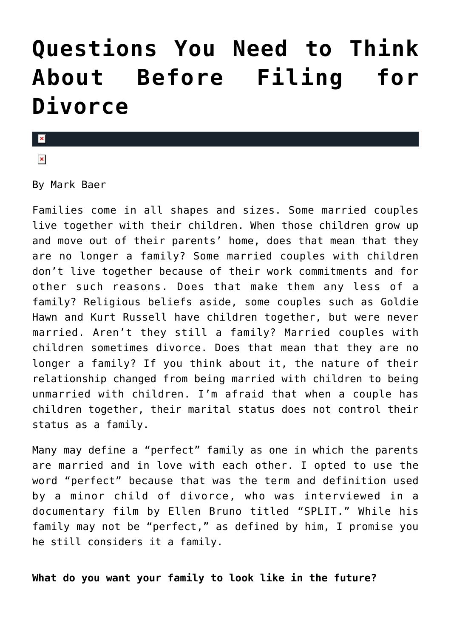### **[Questions You Need to Think](https://cupidspulse.com/69260/top-3-non-negotiable-questions-before-filing-divorce/) [About Before Filing for](https://cupidspulse.com/69260/top-3-non-negotiable-questions-before-filing-divorce/) [Divorce](https://cupidspulse.com/69260/top-3-non-negotiable-questions-before-filing-divorce/)**

#### $\pmb{\times}$

 $\pmb{\times}$ 

By Mark Baer

Families come in all shapes and sizes. Some married couples live together with their children. When those children grow up and move out of their parents' home, does that mean that they are no longer a family? Some married couples with children don't live together because of their work commitments and for other such reasons. Does that make them any less of a family? Religious beliefs aside, some couples such as Goldie Hawn and Kurt Russell have children together, but were never married. Aren't they still a family? Married couples with children sometimes divorce. Does that mean that they are no longer a family? If you think about it, the nature of their relationship changed from being married with children to being unmarried with children. I'm afraid that when a couple has children together, their marital status does not control their status as a family.

Many may define a "perfect" family as one in which the parents are married and in love with each other. I opted to use the word "perfect" because that was the term and definition used by a minor child of divorce, who was interviewed in a documentary film by Ellen Bruno titled "SPLIT." While his family may not be "perfect," as defined by him, I promise you he still considers it a family.

**What do you want your family to look like in the future?**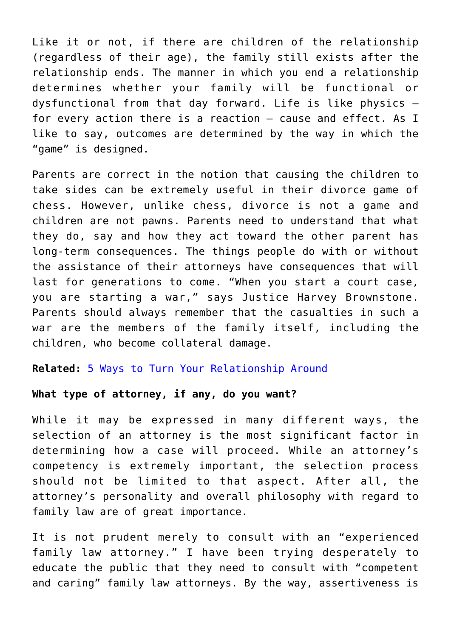Like it or not, if there are children of the relationship (regardless of their age), the family still exists after the relationship ends. The manner in which you end a relationship determines whether your family will be functional or dysfunctional from that day forward. Life is like physics for every action there is a reaction — cause and effect. As I like to say, outcomes are determined by the way in which the "game" is designed.

Parents are correct in the notion that causing the children to take sides can be extremely useful in their divorce game of chess. However, unlike chess, divorce is not a game and children are not pawns. Parents need to understand that what they do, say and how they act toward the other parent has long-term consequences. The things people do with or without the assistance of their attorneys have consequences that will last for generations to come. "When you start a court case, you are starting a war," says Justice Harvey Brownstone. Parents should always remember that the casualties in such a war are the members of the family itself, including the children, who become collateral damage.

**Related:** [5 Ways to Turn Your Relationship Around](http://cupidspulse.com/5-ways-turn-relationship-around/)

#### **What type of attorney, if any, do you want?**

While it may be expressed in many different ways, the selection of an attorney is the most significant factor in determining how a case will proceed. While an attorney's competency is extremely important, the selection process should not be limited to that aspect. After all, the attorney's personality and overall philosophy with regard to family law are of great importance.

It is not prudent merely to consult with an "experienced family law attorney." I have been trying desperately to educate the public that they need to consult with "competent and caring" family law attorneys. By the way, assertiveness is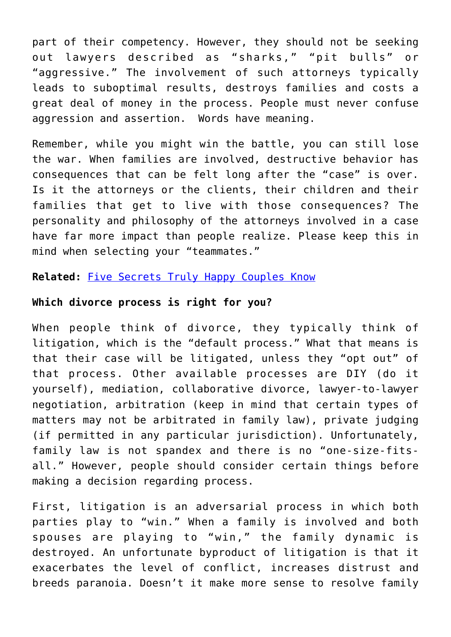part of their competency. However, they should not be seeking out lawyers described as "sharks," "pit bulls" or "aggressive." The involvement of such attorneys typically leads to suboptimal results, destroys families and costs a great deal of money in the process. People must never confuse aggression and assertion. Words have meaning.

Remember, while you might win the battle, you can still lose the war. When families are involved, destructive behavior has consequences that can be felt long after the "case" is over. Is it the attorneys or the clients, their children and their families that get to live with those consequences? The personality and philosophy of the attorneys involved in a case have far more impact than people realize. Please keep this in mind when selecting your "teammates."

#### **Related:** [Five Secrets Truly Happy Couples Know](http://cupidspulse.com/five-secrets-happy-couples-know/)

#### **Which divorce process is right for you?**

When people think of divorce, they typically think of litigation, which is the "default process." What that means is that their case will be litigated, unless they "opt out" of that process. Other available processes are DIY (do it yourself), mediation, collaborative divorce, lawyer-to-lawyer negotiation, arbitration (keep in mind that certain types of matters may not be arbitrated in family law), private judging (if permitted in any particular jurisdiction). Unfortunately, family law is not spandex and there is no "one-size-fitsall." However, people should consider certain things before making a decision regarding process.

First, litigation is an adversarial process in which both parties play to "win." When a family is involved and both spouses are playing to "win," the family dynamic is destroyed. An unfortunate byproduct of litigation is that it exacerbates the level of conflict, increases distrust and breeds paranoia. Doesn't it make more sense to resolve family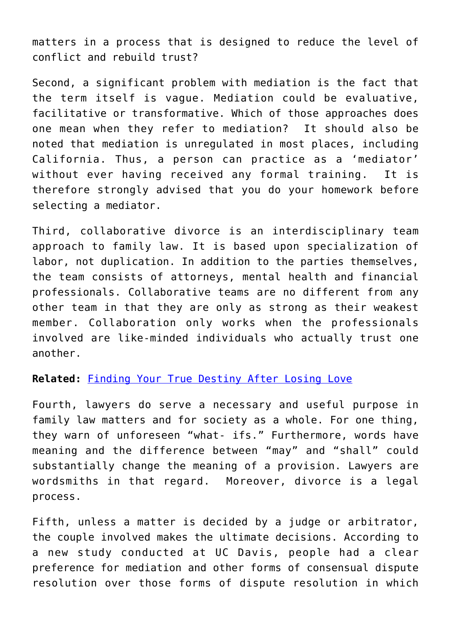matters in a process that is designed to reduce the level of conflict and rebuild trust?

Second, a significant problem with mediation is the fact that the term itself is vague. Mediation could be evaluative, facilitative or transformative. Which of those approaches does one mean when they refer to mediation? It should also be noted that mediation is unregulated in most places, including California. Thus, a person can practice as a 'mediator' without ever having received any formal training. It is therefore strongly advised that you do your homework before selecting a mediator.

Third, collaborative divorce is an interdisciplinary team approach to family law. It is based upon specialization of labor, not duplication. In addition to the parties themselves, the team consists of attorneys, mental health and financial professionals. Collaborative teams are no different from any other team in that they are only as strong as their weakest member. Collaboration only works when the professionals involved are like-minded individuals who actually trust one another.

#### **Related:** [Finding Your True Destiny After Losing Love](http://cupidspulse.com/finding-true-destiny-losing-love/)

Fourth, lawyers do serve a necessary and useful purpose in family law matters and for society as a whole. For one thing, they warn of unforeseen "what- ifs." Furthermore, words have meaning and the difference between "may" and "shall" could substantially change the meaning of a provision. Lawyers are wordsmiths in that regard. Moreover, divorce is a legal process.

Fifth, unless a matter is decided by a judge or arbitrator, the couple involved makes the ultimate decisions. According to a new study conducted at UC Davis, people had a clear preference for mediation and other forms of consensual dispute resolution over those forms of dispute resolution in which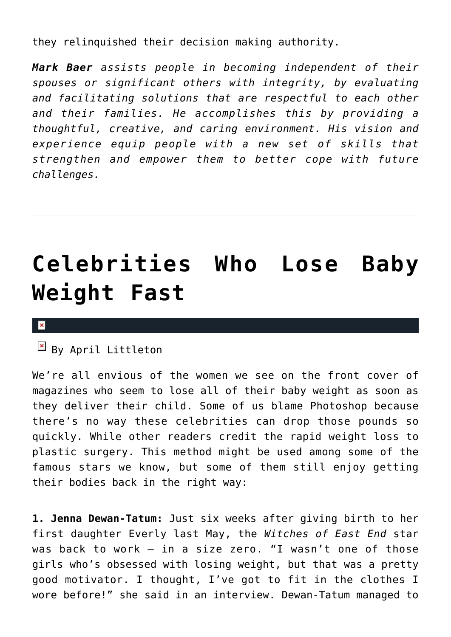they relinquished their decision making authority.

*Mark Baer assists people in becoming independent of their spouses or significant others with integrity, by evaluating and facilitating solutions that are respectful to each other and their families. He accomplishes this by providing a thoughtful, creative, and caring environment. His vision and experience equip people with a new set of skills that strengthen and empower them to better cope with future challenges.* 

## **[Celebrities Who Lose Baby](https://cupidspulse.com/68347/celebrities-lose-baby-weight-fast/) [Weight Fast](https://cupidspulse.com/68347/celebrities-lose-baby-weight-fast/)**

#### $\pmb{\times}$

 $\mathbf{B}$  By April Littleton

We're all envious of the women we see on the front cover of magazines who seem to lose all of their baby weight as soon as they deliver their child. Some of us blame Photoshop because there's no way these celebrities can drop those pounds so quickly. While other readers credit the rapid weight loss to plastic surgery. This method might be used among some of the famous stars we know, but some of them still enjoy getting their bodies back in the right way:

**1. Jenna Dewan-Tatum:** Just six weeks after giving birth to her first daughter Everly last May, the *Witches of East End* star was back to work – in a size zero. "I wasn't one of those girls who's obsessed with losing weight, but that was a pretty good motivator. I thought, I've got to fit in the clothes I wore before!" she said in an interview. Dewan-Tatum managed to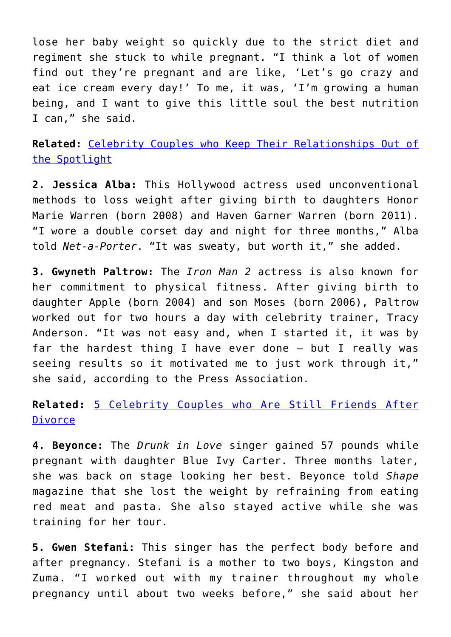lose her baby weight so quickly due to the strict diet and regiment she stuck to while pregnant. "I think a lot of women find out they're pregnant and are like, 'Let's go crazy and eat ice cream every day!' To me, it was, 'I'm growing a human being, and I want to give this little soul the best nutrition I can," she said.

**Related:** [Celebrity Couples who Keep Their Relationships Out of](http://cupidspulse.com/celebrity-couples-relationships-out-of-spotlight/) [the Spotlight](http://cupidspulse.com/celebrity-couples-relationships-out-of-spotlight/)

**2. Jessica Alba:** This Hollywood actress used unconventional methods to loss weight after giving birth to daughters Honor Marie Warren (born 2008) and Haven Garner Warren (born 2011). "I wore a double corset day and night for three months," Alba told *Net-a-Porter*. "It was sweaty, but worth it," she added.

**3. Gwyneth Paltrow:** The *Iron Man 2* actress is also known for her commitment to physical fitness. After giving birth to daughter Apple (born 2004) and son Moses (born 2006), Paltrow worked out for two hours a day with celebrity trainer, Tracy Anderson. "It was not easy and, when I started it, it was by far the hardest thing I have ever done – but I really was seeing results so it motivated me to just work through it," she said, according to the Press Association.

**Related:** [5 Celebrity Couples who Are Still Friends After](http://cupidspulse.com/celebrity-couples-still-friends-after-divorce/) [Divorce](http://cupidspulse.com/celebrity-couples-still-friends-after-divorce/)

**4. Beyonce:** The *Drunk in Love* singer gained 57 pounds while pregnant with daughter Blue Ivy Carter. Three months later, she was back on stage looking her best. Beyonce told *Shape* magazine that she lost the weight by refraining from eating red meat and pasta. She also stayed active while she was training for her tour.

**5. Gwen Stefani:** This singer has the perfect body before and after pregnancy. Stefani is a mother to two boys, Kingston and Zuma. "I worked out with my trainer throughout my whole pregnancy until about two weeks before," she said about her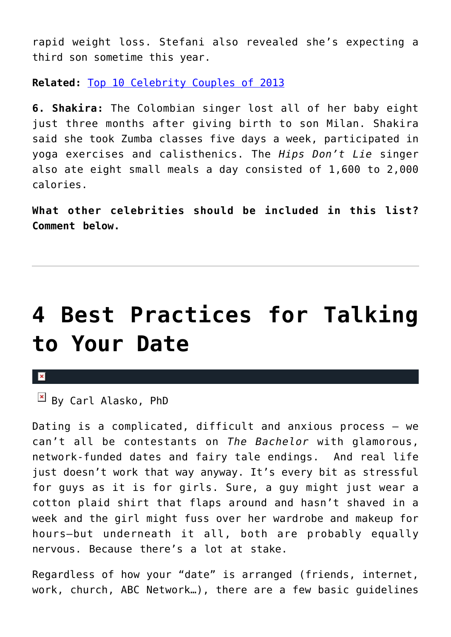rapid weight loss. Stefani also revealed she's expecting a third son sometime this year.

**Related:** [Top 10 Celebrity Couples of 2013](http://cupidspulse.com/celebrity-couples-2013/)

**6. Shakira:** The Colombian singer lost all of her baby eight just three months after giving birth to son Milan. Shakira said she took Zumba classes five days a week, participated in yoga exercises and calisthenics. The *Hips Don't Lie* singer also ate eight small meals a day consisted of 1,600 to 2,000 calories.

**What other celebrities should be included in this list? Comment below.**

### **[4 Best Practices for Talking](https://cupidspulse.com/68973/4-practices-talk-to-date/) [to Your Date](https://cupidspulse.com/68973/4-practices-talk-to-date/)**

#### $\pmb{\times}$

 $\overline{\mathsf{B}}$  By Carl Alasko, PhD

Dating is a complicated, difficult and anxious process — we can't all be contestants on *The Bachelor* with glamorous, network-funded dates and fairy tale endings. And real life just doesn't work that way anyway. It's every bit as stressful for guys as it is for girls. Sure, a guy might just wear a cotton plaid shirt that flaps around and hasn't shaved in a week and the girl might fuss over her wardrobe and makeup for hours–but underneath it all, both are probably equally nervous. Because there's a lot at stake.

Regardless of how your "date" is arranged (friends, internet, work, church, ABC Network…), there are a few basic guidelines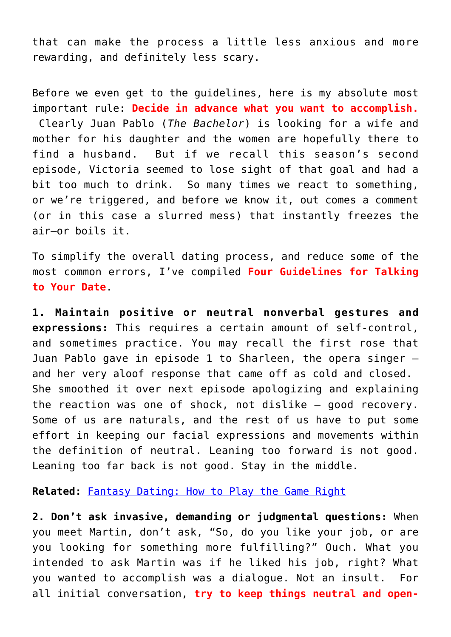that can make the process a little less anxious and more rewarding, and definitely less scary.

Before we even get to the guidelines, here is my absolute most important rule: **Decide in advance what you want to accomplish.** Clearly Juan Pablo (*The Bachelor*) is looking for a wife and mother for his daughter and the women are hopefully there to find a husband. But if we recall this season's second episode, Victoria seemed to lose sight of that goal and had a bit too much to drink. So many times we react to something, or we're triggered, and before we know it, out comes a comment (or in this case a slurred mess) that instantly freezes the air–or boils it.

To simplify the overall dating process, and reduce some of the most common errors, I've compiled **Four Guidelines for Talking to Your Date**.

**1. Maintain positive or neutral nonverbal gestures and expressions:** This requires a certain amount of self-control, and sometimes practice. You may recall the first rose that Juan Pablo gave in episode 1 to Sharleen, the opera singer and her very aloof response that came off as cold and closed. She smoothed it over next episode apologizing and explaining the reaction was one of shock, not dislike — good recovery. Some of us are naturals, and the rest of us have to put some effort in keeping our facial expressions and movements within the definition of neutral. Leaning too forward is not good. Leaning too far back is not good. Stay in the middle.

**Related:** [Fantasy Dating: How to Play the Game Right](http://cupidspulse.com/fantasy-dating-play-game-right/)

**2. Don't ask invasive, demanding or judgmental questions:** When you meet Martin, don't ask, "So, do you like your job, or are you looking for something more fulfilling?" Ouch. What you intended to ask Martin was if he liked his job, right? What you wanted to accomplish was a dialogue. Not an insult. For all initial conversation, **try to keep things neutral and open-**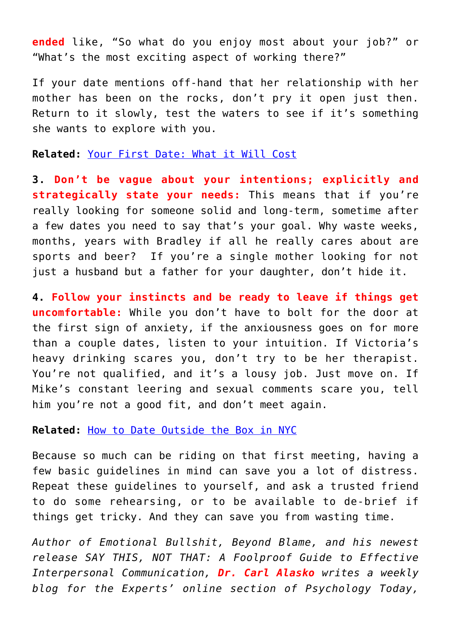**ended** like, "So what do you enjoy most about your job?" or "What's the most exciting aspect of working there?"

If your date mentions off-hand that her relationship with her mother has been on the rocks, don't pry it open just then. Return to it slowly, test the waters to see if it's something she wants to explore with you.

**Related:** [Your First Date: What it Will Cost](http://cupidspulse.com/first-date-cost/)

**3. Don't be vague about your intentions; explicitly and strategically state your needs:** This means that if you're really looking for someone solid and long-term, sometime after a few dates you need to say that's your goal. Why waste weeks, months, years with Bradley if all he really cares about are sports and beer? If you're a single mother looking for not just a husband but a father for your daughter, don't hide it.

**4. Follow your instincts and be ready to leave if things get uncomfortable:** While you don't have to bolt for the door at the first sign of anxiety, if the anxiousness goes on for more than a couple dates, listen to your intuition. If Victoria's heavy drinking scares you, don't try to be her therapist. You're not qualified, and it's a lousy job. Just move on. If Mike's constant leering and sexual comments scare you, tell him you're not a good fit, and don't meet again.

**Related:** [How to Date Outside the Box in NYC](http://cupidspulse.com/how-to-date-outside-box-nyc/)

Because so much can be riding on that first meeting, having a few basic guidelines in mind can save you a lot of distress. Repeat these guidelines to yourself, and ask a trusted friend to do some rehearsing, or to be available to de-brief if things get tricky. And they can save you from wasting time.

*Author of Emotional Bullshit, Beyond Blame, and his newest release SAY THIS, NOT THAT: A Foolproof Guide to Effective Interpersonal Communication, Dr. Carl Alasko writes a weekly blog for the Experts' online section of Psychology Today,*